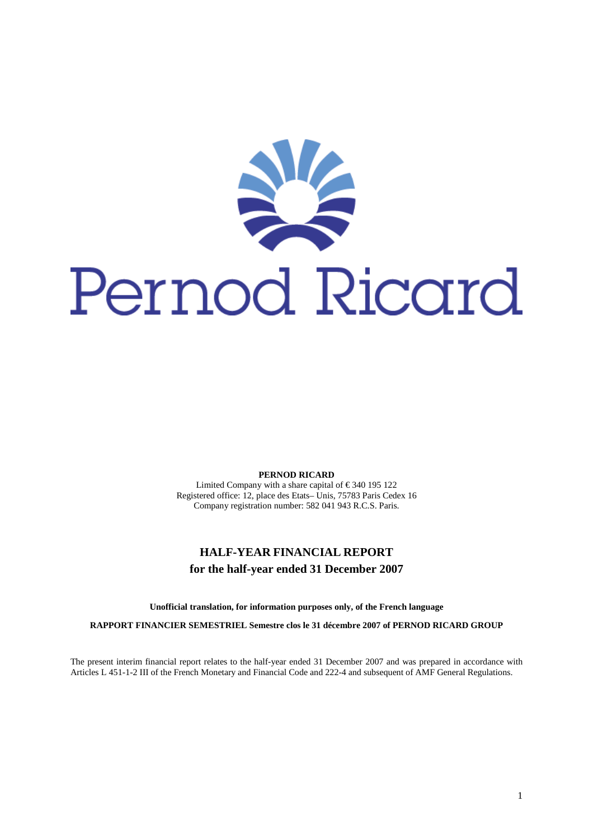

**PERNOD RICARD** 

Limited Company with a share capital of  $\in$  340 195 122 Registered office: 12, place des Etats– Unis, 75783 Paris Cedex 16 Company registration number: 582 041 943 R.C.S. Paris.

# **HALF-YEAR FINANCIAL REPORT for the half-year ended 31 December 2007**

**Unofficial translation, for information purposes only, of the French language** 

**RAPPORT FINANCIER SEMESTRIEL Semestre clos le 31 décembre 2007 of PERNOD RICARD GROUP** 

The present interim financial report relates to the half-year ended 31 December 2007 and was prepared in accordance with Articles L 451-1-2 III of the French Monetary and Financial Code and 222-4 and subsequent of AMF General Regulations.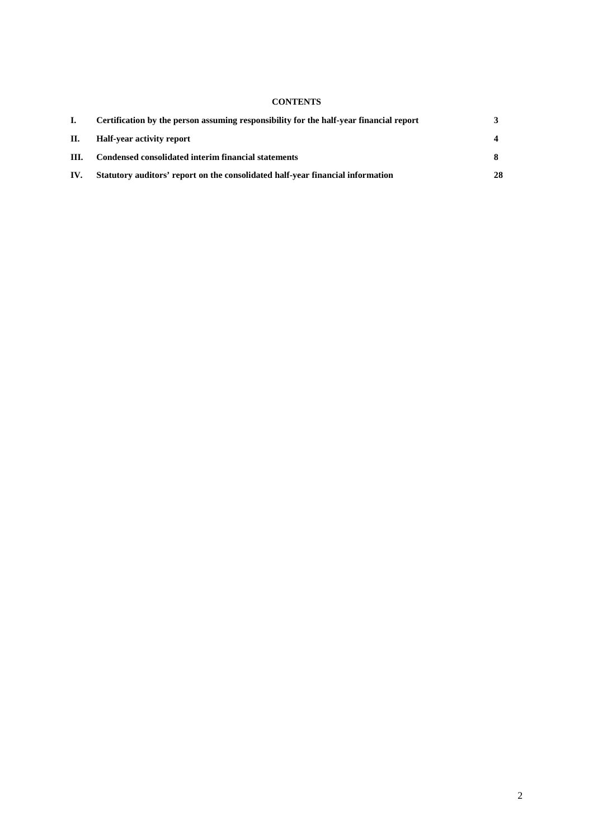# **CONTENTS**

|      | Certification by the person assuming responsibility for the half-year financial report |    |
|------|----------------------------------------------------------------------------------------|----|
| П.   | Half-year activity report                                                              |    |
| III. | Condensed consolidated interim financial statements                                    |    |
| IV.  | Statutory auditors' report on the consolidated half-year financial information         | 28 |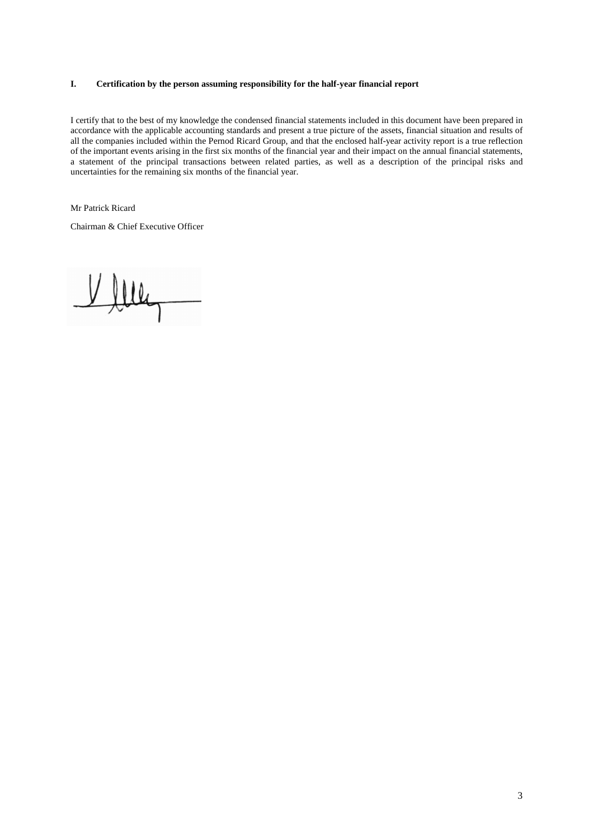# **I. Certification by the person assuming responsibility for the half-year financial report**

I certify that to the best of my knowledge the condensed financial statements included in this document have been prepared in accordance with the applicable accounting standards and present a true picture of the assets, financial situation and results of all the companies included within the Pernod Ricard Group, and that the enclosed half-year activity report is a true reflection of the important events arising in the first six months of the financial year and their impact on the annual financial statements, a statement of the principal transactions between related parties, as well as a description of the principal risks and uncertainties for the remaining six months of the financial year.

Mr Patrick Ricard

Chairman & Chief Executive Officer

Ville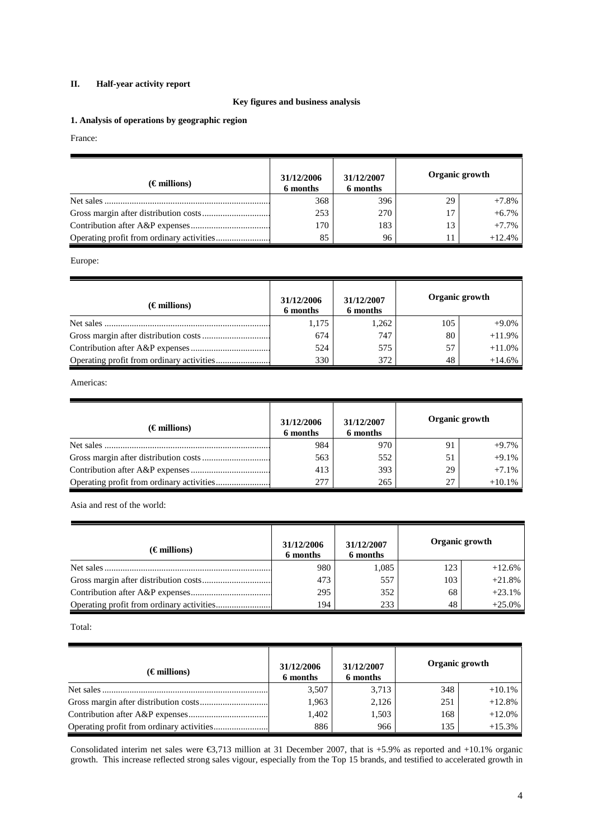# **II. Half-year activity report**

# **Key figures and business analysis**

**1. Analysis of operations by geographic region** 

# France:

| $(\epsilon$ millions) | 31/12/2006<br>6 months | 31/12/2007<br>6 months | Organic growth |          |
|-----------------------|------------------------|------------------------|----------------|----------|
| Net sales             | 368                    | 396                    | 29             | $+7.8%$  |
|                       | 253                    | 270                    |                | $+6.7%$  |
|                       | 170                    | 183                    |                | $+7.7%$  |
|                       | 85                     | 96                     |                | $+12.4%$ |

Europe:

| $(\epsilon$ millions) | 31/12/2006<br>6 months | 31/12/2007<br>6 months | Organic growth |          |
|-----------------------|------------------------|------------------------|----------------|----------|
|                       | 1,175                  | 1,262                  | 105            | $+9.0%$  |
|                       | 674                    | 747                    | 80             | $+11.9%$ |
|                       | 524                    | 575                    | 57             | $+11.0%$ |
|                       | 330                    | 372                    | 48             | $+14.6%$ |

Americas:

| $(\epsilon$ millions) | 31/12/2006<br>6 months | 31/12/2007<br>6 months |    | Organic growth |
|-----------------------|------------------------|------------------------|----|----------------|
|                       | 984                    | 970                    | 91 | $+9.7%$        |
|                       | 563                    | 552                    | 51 | $+9.1%$        |
|                       | 413                    | 393                    | 29 | $+7.1%$        |
|                       | 277                    | 265                    | 27 | $+10.1\%$      |

Asia and rest of the world:

| $(\epsilon$ millions) | 31/12/2006<br>6 months | 31/12/2007<br>6 months |     | Organic growth |
|-----------------------|------------------------|------------------------|-----|----------------|
|                       | 980                    | 1.085                  | 123 | $+12.6%$       |
|                       | 473                    | 557                    | 103 | $+21.8%$       |
|                       | 295                    | 352                    | 68  | $+23.1%$       |
|                       | 194                    | 233                    | 48  | $+25.0%$       |

Total:

| $(\epsilon$ millions) | 31/12/2006<br>6 months | 31/12/2007<br>6 months | Organic growth |          |
|-----------------------|------------------------|------------------------|----------------|----------|
|                       | 3,507                  | 3,713                  | 348            | $+10.1%$ |
|                       | 1,963                  | 2,126                  | 251            | $+12.8%$ |
|                       | 1,402                  | 1,503                  | 168            | $+12.0%$ |
|                       | 886                    | 966                    | 135            | $+15.3%$ |

Consolidated interim net sales were  $\epsilon$ 3,713 million at 31 December 2007, that is +5.9% as reported and +10.1% organic growth. This increase reflected strong sales vigour, especially from the Top 15 brands, and testified to accelerated growth in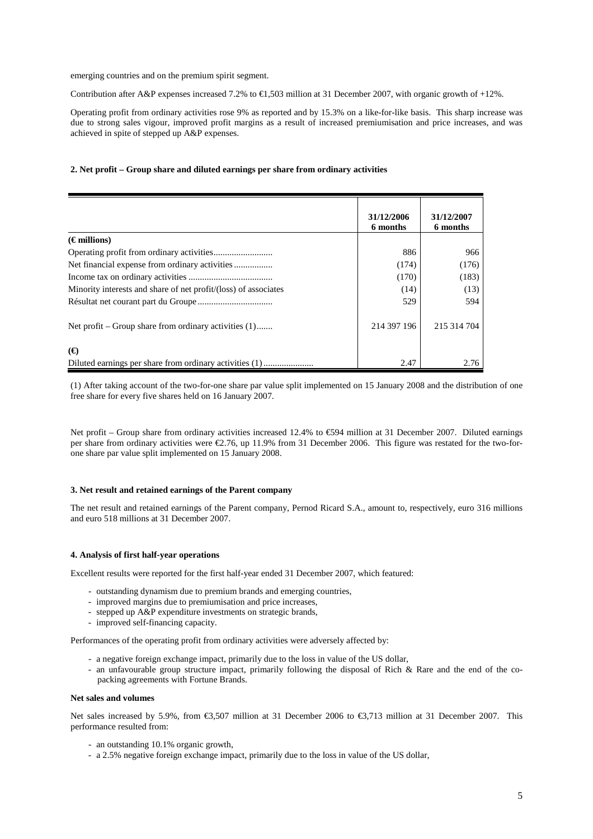emerging countries and on the premium spirit segment.

Contribution after A&P expenses increased 7.2% to  $\epsilon$ 1,503 million at 31 December 2007, with organic growth of +12%.

Operating profit from ordinary activities rose 9% as reported and by 15.3% on a like-for-like basis. This sharp increase was due to strong sales vigour, improved profit margins as a result of increased premiumisation and price increases, and was achieved in spite of stepped up A&P expenses.

#### **2. Net profit – Group share and diluted earnings per share from ordinary activities**

|                                                                 | 31/12/2006<br>6 months | 31/12/2007<br>6 months |
|-----------------------------------------------------------------|------------------------|------------------------|
| $(\epsilon$ millions)                                           |                        |                        |
|                                                                 | 886                    | 966                    |
|                                                                 | (174)                  | (176)                  |
|                                                                 | (170)                  | (183)                  |
| Minority interests and share of net profit/(loss) of associates | (14)                   | (13)                   |
|                                                                 | 529                    | 594                    |
| Net profit – Group share from ordinary activities (1)           | 214 397 196            | 215 314 704            |
| (E)                                                             |                        |                        |
|                                                                 | 2.47                   | 2.76                   |

(1) After taking account of the two-for-one share par value split implemented on 15 January 2008 and the distribution of one free share for every five shares held on 16 January 2007.

Net profit – Group share from ordinary activities increased 12.4% to €594 million at 31 December 2007. Diluted earnings per share from ordinary activities were €2.76, up 11.9% from 31 December 2006. This figure was restated for the two-forone share par value split implemented on 15 January 2008.

#### **3. Net result and retained earnings of the Parent company**

The net result and retained earnings of the Parent company, Pernod Ricard S.A., amount to, respectively, euro 316 millions and euro 518 millions at 31 December 2007.

# **4. Analysis of first half-year operations**

Excellent results were reported for the first half-year ended 31 December 2007, which featured:

- outstanding dynamism due to premium brands and emerging countries,
- improved margins due to premiumisation and price increases,
- stepped up A&P expenditure investments on strategic brands,
- improved self-financing capacity.

Performances of the operating profit from ordinary activities were adversely affected by:

- a negative foreign exchange impact, primarily due to the loss in value of the US dollar,
- an unfavourable group structure impact, primarily following the disposal of Rich & Rare and the end of the copacking agreements with Fortune Brands.

#### **Net sales and volumes**

Net sales increased by 5.9%, from €3,507 million at 31 December 2006 to €3,713 million at 31 December 2007. This performance resulted from:

- an outstanding 10.1% organic growth,
- a 2.5% negative foreign exchange impact, primarily due to the loss in value of the US dollar,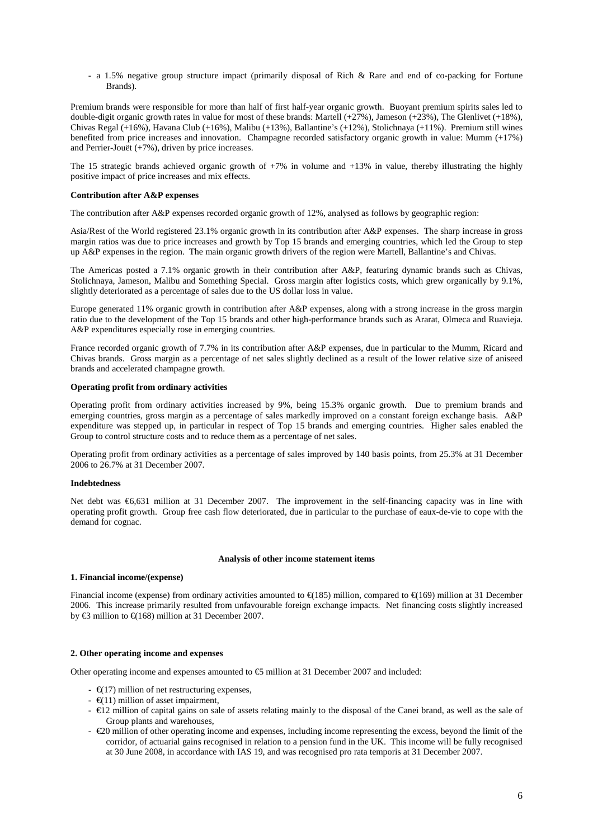- a 1.5% negative group structure impact (primarily disposal of Rich & Rare and end of co-packing for Fortune Brands).

Premium brands were responsible for more than half of first half-year organic growth. Buoyant premium spirits sales led to double-digit organic growth rates in value for most of these brands: Martell  $(+27%)$ , Jameson  $(+23%)$ , The Glenlivet  $(+18%)$ , Chivas Regal (+16%), Havana Club (+16%), Malibu (+13%), Ballantine's (+12%), Stolichnaya (+11%). Premium still wines benefited from price increases and innovation. Champagne recorded satisfactory organic growth in value: Mumm (+17%) and Perrier-Jouët (+7%), driven by price increases.

The 15 strategic brands achieved organic growth of  $+7\%$  in volume and  $+13\%$  in value, thereby illustrating the highly positive impact of price increases and mix effects.

#### **Contribution after A&P expenses**

The contribution after A&P expenses recorded organic growth of 12%, analysed as follows by geographic region:

Asia/Rest of the World registered 23.1% organic growth in its contribution after A&P expenses. The sharp increase in gross margin ratios was due to price increases and growth by Top 15 brands and emerging countries, which led the Group to step up A&P expenses in the region. The main organic growth drivers of the region were Martell, Ballantine's and Chivas.

The Americas posted a 7.1% organic growth in their contribution after A&P, featuring dynamic brands such as Chivas, Stolichnaya, Jameson, Malibu and Something Special. Gross margin after logistics costs, which grew organically by 9.1%, slightly deteriorated as a percentage of sales due to the US dollar loss in value.

Europe generated 11% organic growth in contribution after A&P expenses, along with a strong increase in the gross margin ratio due to the development of the Top 15 brands and other high-performance brands such as Ararat, Olmeca and Ruavieja. A&P expenditures especially rose in emerging countries.

France recorded organic growth of 7.7% in its contribution after A&P expenses, due in particular to the Mumm, Ricard and Chivas brands. Gross margin as a percentage of net sales slightly declined as a result of the lower relative size of aniseed brands and accelerated champagne growth.

# **Operating profit from ordinary activities**

Operating profit from ordinary activities increased by 9%, being 15.3% organic growth. Due to premium brands and emerging countries, gross margin as a percentage of sales markedly improved on a constant foreign exchange basis. A&P expenditure was stepped up, in particular in respect of Top 15 brands and emerging countries. Higher sales enabled the Group to control structure costs and to reduce them as a percentage of net sales.

Operating profit from ordinary activities as a percentage of sales improved by 140 basis points, from 25.3% at 31 December 2006 to 26.7% at 31 December 2007.

#### **Indebtedness**

Net debt was €6,631 million at 31 December 2007. The improvement in the self-financing capacity was in line with operating profit growth. Group free cash flow deteriorated, due in particular to the purchase of eaux-de-vie to cope with the demand for cognac.

#### **Analysis of other income statement items**

# **1. Financial income/(expense)**

Financial income (expense) from ordinary activities amounted to  $\epsilon(185)$  million, compared to  $\epsilon(169)$  million at 31 December 2006. This increase primarily resulted from unfavourable foreign exchange impacts. Net financing costs slightly increased by  $\epsilon$ 3 million to  $\epsilon$ (168) million at 31 December 2007

# **2. O**t**her operating income and expenses**

Other operating income and expenses amounted to  $\epsilon$ 5 million at 31 December 2007 and included:

- $\epsilon$  =  $\epsilon$ (17) million of net restructuring expenses,
- $\epsilon$ (11) million of asset impairment,
- $\in$  12 million of capital gains on sale of assets relating mainly to the disposal of the Canei brand, as well as the sale of Group plants and warehouses,
- $\in$  20 million of other operating income and expenses, including income representing the excess, beyond the limit of the corridor, of actuarial gains recognised in relation to a pension fund in the UK. This income will be fully recognised at 30 June 2008, in accordance with IAS 19, and was recognised pro rata temporis at 31 December 2007.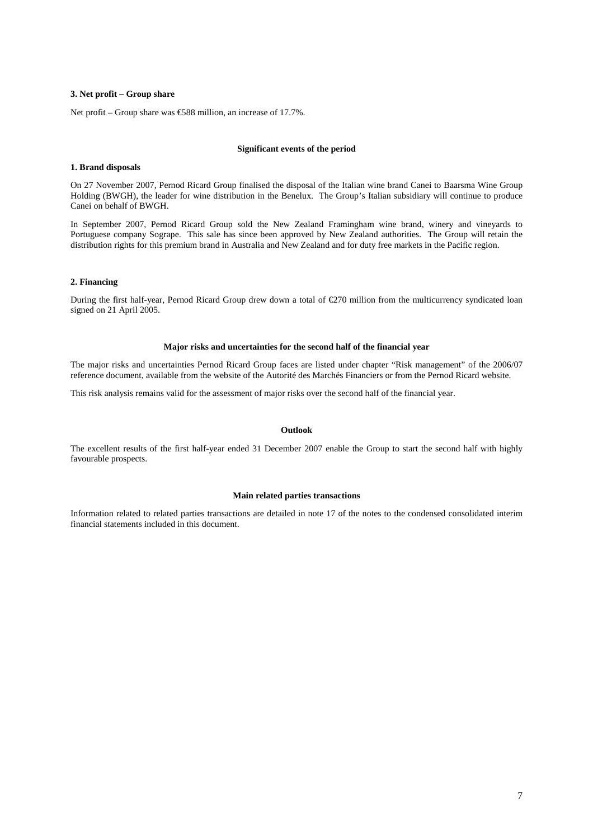#### **3. Net profit – Group share**

Net profit – Group share was  $\epsilon$ 588 million, an increase of 17.7%.

# **Significant events of the period**

#### **1. Brand disposals**

On 27 November 2007, Pernod Ricard Group finalised the disposal of the Italian wine brand Canei to Baarsma Wine Group Holding (BWGH), the leader for wine distribution in the Benelux. The Group's Italian subsidiary will continue to produce Canei on behalf of BWGH.

In September 2007, Pernod Ricard Group sold the New Zealand Framingham wine brand, winery and vineyards to Portuguese company Sogrape. This sale has since been approved by New Zealand authorities. The Group will retain the distribution rights for this premium brand in Australia and New Zealand and for duty free markets in the Pacific region.

#### **2. Financing**

During the first half-year, Pernod Ricard Group drew down a total of €270 million from the multicurrency syndicated loan signed on 21 April 2005.

#### **Major risks and uncertainties for the second half of the financial year**

The major risks and uncertainties Pernod Ricard Group faces are listed under chapter "Risk management" of the 2006/07 reference document, available from the website of the Autorité des Marchés Financiers or from the Pernod Ricard website.

This risk analysis remains valid for the assessment of major risks over the second half of the financial year.

# **Outlook**

The excellent results of the first half-year ended 31 December 2007 enable the Group to start the second half with highly favourable prospects.

### **Main related parties transactions**

Information related to related parties transactions are detailed in note 17 of the notes to the condensed consolidated interim financial statements included in this document.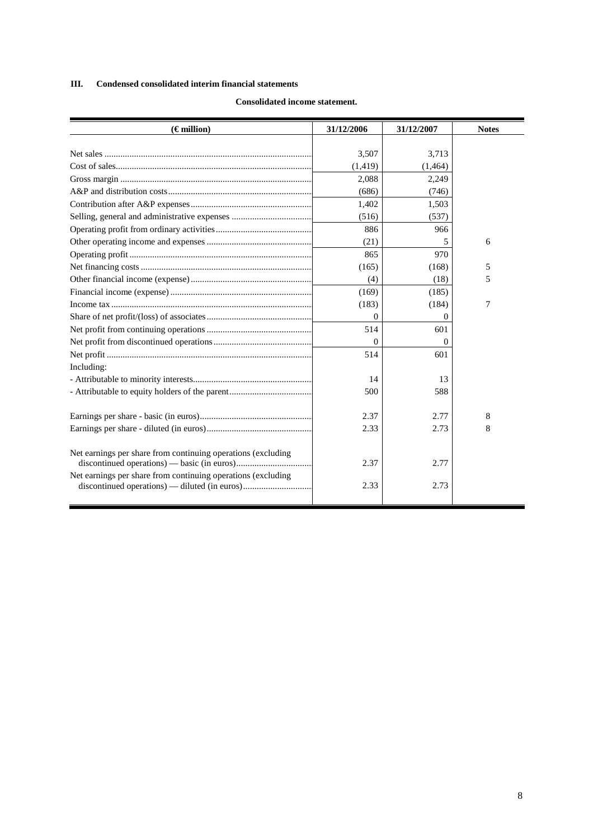# **III. Condensed consolidated interim financial statements**

| $(\epsilon$ million)                                         | 31/12/2006 | 31/12/2007 | <b>Notes</b> |
|--------------------------------------------------------------|------------|------------|--------------|
|                                                              |            |            |              |
|                                                              | 3,507      | 3,713      |              |
|                                                              | (1, 419)   | (1,464)    |              |
|                                                              | 2,088      | 2,249      |              |
|                                                              | (686)      | (746)      |              |
|                                                              | 1,402      | 1,503      |              |
|                                                              | (516)      | (537)      |              |
|                                                              | 886        | 966        |              |
|                                                              | (21)       |            | 6            |
|                                                              | 865        | 970        |              |
|                                                              | (165)      | (168)      | 5            |
|                                                              | (4)        | (18)       | 5            |
|                                                              | (169)      | (185)      |              |
|                                                              | (183)      | (184)      | 7            |
|                                                              | $\Omega$   | $\Omega$   |              |
|                                                              | 514        | 601        |              |
|                                                              | $\Omega$   | $\Omega$   |              |
|                                                              | 514        | 601        |              |
| Including:                                                   |            |            |              |
|                                                              | 14         | 13         |              |
|                                                              | 500        | 588        |              |
|                                                              |            |            |              |
|                                                              | 2.37       | 2.77       | 8            |
|                                                              | 2.33       | 2.73       | 8            |
|                                                              |            |            |              |
| Net earnings per share from continuing operations (excluding |            |            |              |
|                                                              | 2.37       | 2.77       |              |
| Net earnings per share from continuing operations (excluding |            | 2.73       |              |
|                                                              | 2.33       |            |              |
|                                                              |            |            |              |

# **Consolidated income statement.**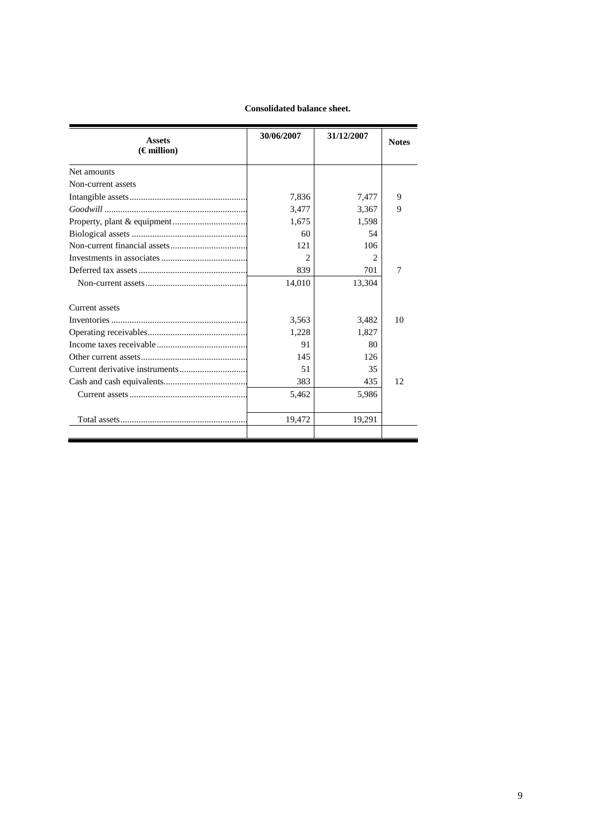# **Consolidated balance sheet.**

| <b>Assets</b>        | 30/06/2007                  | 31/12/2007     | <b>Notes</b> |
|----------------------|-----------------------------|----------------|--------------|
| $(\epsilon$ million) |                             |                |              |
| Net amounts          |                             |                |              |
| Non-current assets   |                             |                |              |
|                      | 7.836                       | 7,477          | 9            |
|                      | 3,477                       | 3,367          | 9            |
|                      | 1,675                       | 1,598          |              |
|                      | 60                          | 54             |              |
|                      | 12.1                        | 106            |              |
|                      | $\mathcal{D}_{\mathcal{L}}$ | $\mathfrak{D}$ |              |
|                      | 839                         | 701            | 7            |
|                      | 14,010                      | 13,304         |              |
| Current assets       |                             |                |              |
|                      | 3,563                       | 3,482          | 10           |
|                      | 1,228                       | 1,827          |              |
|                      | 91                          | 80             |              |
|                      | 145                         | 126            |              |
|                      | 51                          | 35             |              |
|                      | 383                         | 435            | 12           |
|                      | 5,462                       | 5,986          |              |
|                      | 19,472                      | 19,291         |              |
|                      |                             |                |              |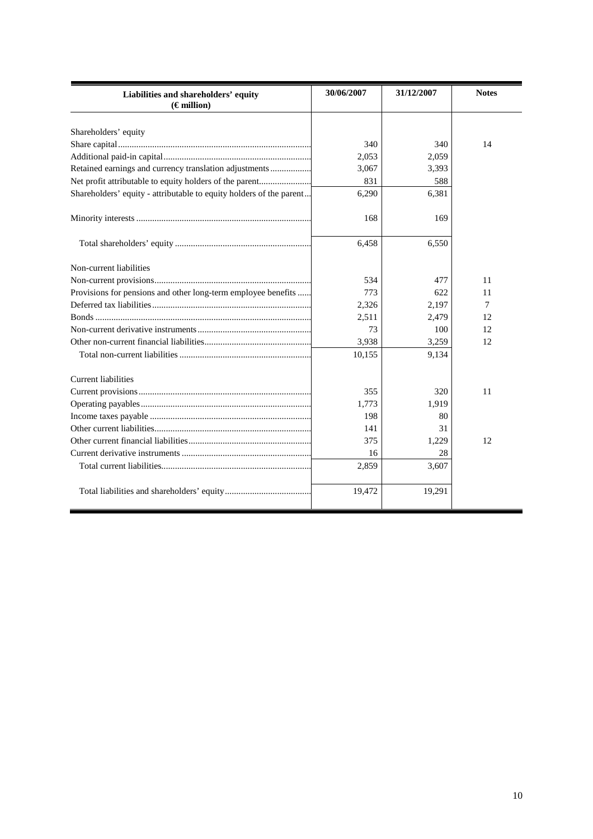| Liabilities and shareholders' equity<br>$(\epsilon$ million)        | 30/06/2007 | 31/12/2007 | <b>Notes</b> |
|---------------------------------------------------------------------|------------|------------|--------------|
| Shareholders' equity                                                |            |            |              |
|                                                                     | 340        | 340        | 14           |
|                                                                     | 2,053      | 2,059      |              |
| Retained earnings and currency translation adjustments              | 3,067      | 3,393      |              |
| Net profit attributable to equity holders of the parent             | 831        | 588        |              |
| Shareholders' equity - attributable to equity holders of the parent | 6,290      | 6,381      |              |
|                                                                     | 168        | 169        |              |
|                                                                     | 6,458      | 6,550      |              |
| Non-current liabilities                                             |            |            |              |
|                                                                     | 534        | 477        | 11           |
| Provisions for pensions and other long-term employee benefits       | 773        | 622        | 11           |
|                                                                     | 2,326      | 2,197      | 7            |
|                                                                     | 2,511      | 2,479      | 12           |
|                                                                     | 73         | 100        | 12           |
|                                                                     | 3,938      | 3,259      | 12           |
|                                                                     | 10,155     | 9,134      |              |
| <b>Current liabilities</b>                                          |            |            |              |
|                                                                     | 355        | 320        | 11           |
|                                                                     | 1,773      | 1,919      |              |
|                                                                     | 198        | 80         |              |
|                                                                     | 141        | 31         |              |
|                                                                     | 375        | 1,229      | 12           |
|                                                                     | 16         | 28         |              |
|                                                                     | 2,859      | 3,607      |              |
|                                                                     | 19,472     | 19,291     |              |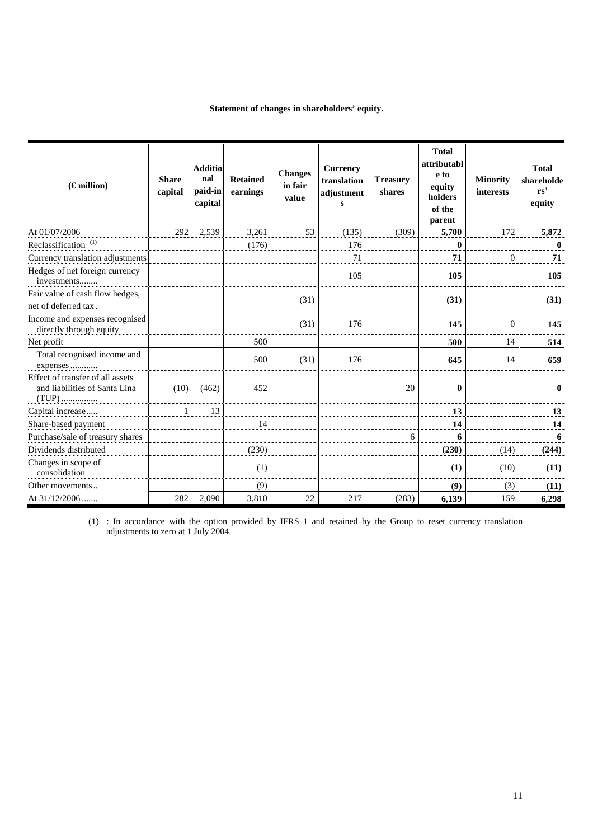# **Statement of changes in shareholders' equity.**

| $(\epsilon$ million)                                              | <b>Share</b><br>capital | <b>Additio</b><br>nal<br>paid-in<br>capital | <b>Retained</b><br>earnings | <b>Changes</b><br>in fair<br>value | <b>Currency</b><br>translation<br>adjustment<br>$\bf{s}$ | <b>Treasury</b><br>shares | <b>Total</b><br>attributabl<br>e to<br>equity<br>holders<br>of the<br>parent | <b>Minority</b><br><i>interests</i> | <b>Total</b><br>shareholde<br>rs'<br>equity |
|-------------------------------------------------------------------|-------------------------|---------------------------------------------|-----------------------------|------------------------------------|----------------------------------------------------------|---------------------------|------------------------------------------------------------------------------|-------------------------------------|---------------------------------------------|
| At 01/07/2006                                                     | 292                     | 2.539                                       | 3,261                       | 53                                 | (135)                                                    | (309)                     | 5,700                                                                        | 172                                 | 5,872                                       |
| Reclassification <sup>(1)</sup>                                   |                         |                                             | (176)                       |                                    | 176                                                      |                           | $\mathbf{0}$                                                                 |                                     | $\mathbf{0}$                                |
| Currency translation adjustments                                  |                         |                                             |                             |                                    | 71                                                       |                           | 71                                                                           | $\theta$                            | 71                                          |
| Hedges of net foreign currency<br>investments                     |                         |                                             |                             |                                    | 105                                                      |                           | 105                                                                          |                                     | 105                                         |
| Fair value of cash flow hedges,                                   |                         |                                             |                             | (31)                               |                                                          |                           | (31)                                                                         |                                     | (31)                                        |
| net of deferred tax.                                              |                         |                                             |                             |                                    |                                                          |                           |                                                                              |                                     |                                             |
| Income and expenses recognised<br>directly through equity         |                         |                                             |                             | (31)                               | 176                                                      |                           | 145                                                                          | $\theta$                            | 145                                         |
| Net profit                                                        |                         |                                             | 500                         |                                    |                                                          |                           | 500                                                                          | 14                                  | 514                                         |
| Total recognised income and<br>expenses                           |                         |                                             | 500                         | (31)                               | 176                                                      |                           | 645                                                                          | 14                                  | 659                                         |
| Effect of transfer of all assets<br>and liabilities of Santa Lina | (10)                    | (462)                                       | 452                         |                                    |                                                          | 20                        | $\bf{0}$                                                                     |                                     | $\mathbf{0}$                                |
| Capital increase                                                  | $\mathbf{1}$            | 13                                          |                             |                                    |                                                          |                           | 13                                                                           |                                     | 13                                          |
| Share-based payment                                               |                         |                                             | 14                          |                                    |                                                          |                           | 14                                                                           |                                     | 14                                          |
| Purchase/sale of treasury shares                                  |                         |                                             |                             |                                    |                                                          | 6                         | 6                                                                            |                                     | 6                                           |
| Dividends distributed                                             |                         |                                             | (230)                       |                                    |                                                          |                           | (230)                                                                        | (14)                                | (244)                                       |
| Changes in scope of<br>consolidation                              |                         |                                             | (1)                         |                                    |                                                          |                           | (1)                                                                          | (10)                                | (11)                                        |
| Other movements                                                   |                         |                                             | (9)                         |                                    |                                                          |                           | (9)                                                                          | (3)                                 | (11)                                        |
| At 31/12/2006                                                     | 282                     | 2,090                                       | 3,810                       | 22                                 | 217                                                      | (283)                     | 6,139                                                                        | 159                                 | 6,298                                       |

(1) : In accordance with the option provided by IFRS 1 and retained by the Group to reset currency translation adjustments to zero at 1 July 2004.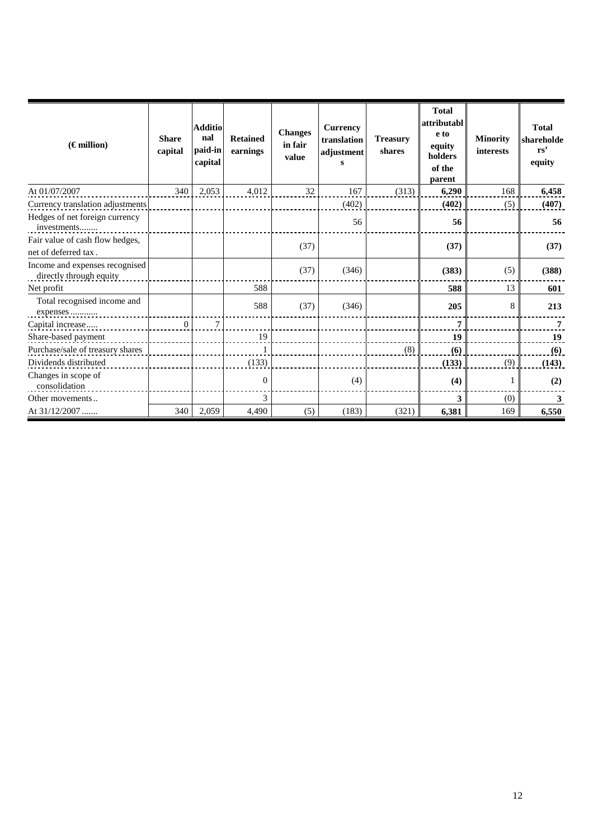| $(\epsilon$ million)                                      | <b>Share</b><br>capital | <b>Additio</b><br>nal<br>paid-in<br>capital | <b>Retained</b><br>earnings | <b>Changes</b><br>in fair<br>value | <b>Currency</b><br>translation<br>adjustment | <b>Treasury</b><br>shares | <b>Total</b><br>attributabl<br>e to<br>equity<br>holders<br>of the<br>parent | <b>Minority</b><br>interests | <b>Total</b><br>shareholde<br>rs'<br>equity |
|-----------------------------------------------------------|-------------------------|---------------------------------------------|-----------------------------|------------------------------------|----------------------------------------------|---------------------------|------------------------------------------------------------------------------|------------------------------|---------------------------------------------|
| At 01/07/2007                                             | 340                     | 2,053                                       | 4,012                       | 32                                 | 167                                          | (313)                     | 6,290                                                                        | 168                          | 6,458                                       |
| Currency translation adjustments                          |                         |                                             |                             |                                    | (402)                                        |                           | (402)                                                                        | (5)                          | (407)                                       |
| Hedges of net foreign currency<br>investments             |                         |                                             |                             |                                    | 56                                           |                           | 56                                                                           |                              | 56                                          |
| Fair value of cash flow hedges,<br>net of deferred tax.   |                         |                                             |                             | (37)                               |                                              |                           | (37)                                                                         |                              | (37)                                        |
| Income and expenses recognised<br>directly through equity |                         |                                             |                             | (37)                               | (346)                                        |                           | (383)                                                                        | (5)                          | (388)                                       |
| Net profit                                                |                         |                                             | 588                         |                                    |                                              |                           | 588                                                                          | 13                           | 601                                         |
| Total recognised income and<br>expenses                   |                         |                                             | 588                         | (37)                               | (346)                                        |                           | 205                                                                          | 8                            | 213                                         |
| Capital increase                                          | $\overline{0}$          | $\tau$                                      |                             |                                    |                                              |                           | 7                                                                            |                              | 7                                           |
| Share-based payment                                       |                         |                                             | 19                          |                                    |                                              |                           | 19                                                                           |                              | 19                                          |
| Purchase/sale of treasury shares                          |                         |                                             |                             |                                    |                                              | (8)                       | (6)                                                                          |                              | (6)                                         |
| Dividends distributed                                     |                         |                                             | (133)                       |                                    |                                              |                           | (133)                                                                        | (9)                          | (143)                                       |
| Changes in scope of<br>consolidation                      |                         |                                             | 0                           |                                    | (4)                                          |                           | (4)                                                                          |                              | (2)                                         |
| Other movements                                           |                         |                                             | 3                           |                                    |                                              |                           | 3                                                                            | (0)                          | 3                                           |
| At 31/12/2007                                             | 340                     | 2,059                                       | 4,490                       | (5)                                | (183)                                        | (321)                     | 6,381                                                                        | 169                          | 6,550                                       |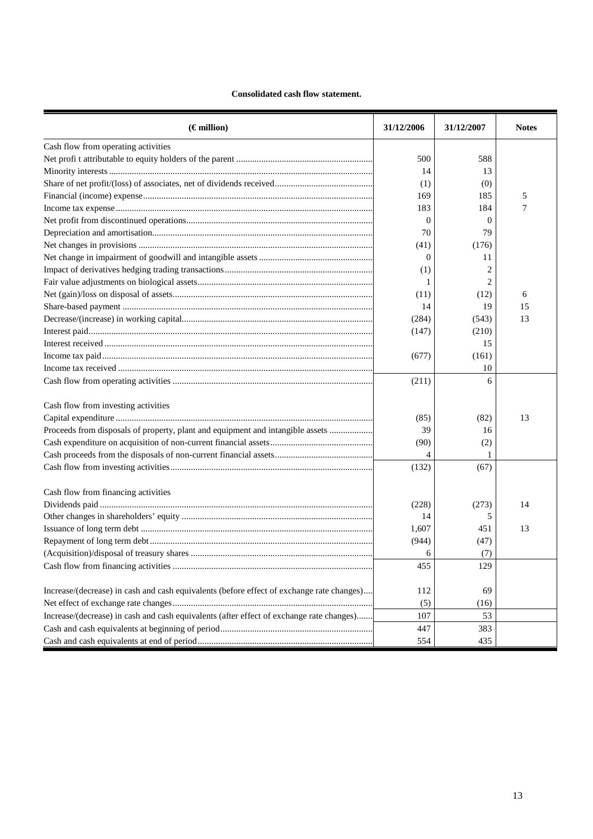# **Consolidated cash flow statement.**

| 500<br>588<br>14<br>13<br>(1)<br>(0)<br>169<br>185<br>5<br>183<br>184<br>7<br>$\Omega$<br>$\Omega$<br>70<br>79<br>(41)<br>(176)<br>$\Omega$<br>11<br>(1)<br>2<br>1<br>(11)<br>(12)<br>6<br>14<br>19<br>15<br>(284)<br>(543)<br>13<br>(147)<br>(210)<br>15<br>(161)<br>(677)<br>10<br>(211)<br>6<br>Cash flow from investing activities<br>(85)<br>(82)<br>13<br>Proceeds from disposals of property, plant and equipment and intangible assets<br>39<br>16<br>(90)<br>(2)<br>4<br>(132)<br>(67)<br>Cash flow from financing activities<br>(228)<br>(273)<br>14<br>14<br>5<br>1,607<br>451<br>13<br>(944)<br>(47)<br>6<br>(7)<br>455<br>129<br>Increase/(decrease) in cash and cash equivalents (before effect of exchange rate changes)<br>112<br>69<br>(5)<br>(16) | $(\epsilon$ million)                                                                     | 31/12/2006 | 31/12/2007 | <b>Notes</b> |
|---------------------------------------------------------------------------------------------------------------------------------------------------------------------------------------------------------------------------------------------------------------------------------------------------------------------------------------------------------------------------------------------------------------------------------------------------------------------------------------------------------------------------------------------------------------------------------------------------------------------------------------------------------------------------------------------------------------------------------------------------------------------|------------------------------------------------------------------------------------------|------------|------------|--------------|
|                                                                                                                                                                                                                                                                                                                                                                                                                                                                                                                                                                                                                                                                                                                                                                     | Cash flow from operating activities                                                      |            |            |              |
|                                                                                                                                                                                                                                                                                                                                                                                                                                                                                                                                                                                                                                                                                                                                                                     |                                                                                          |            |            |              |
|                                                                                                                                                                                                                                                                                                                                                                                                                                                                                                                                                                                                                                                                                                                                                                     |                                                                                          |            |            |              |
|                                                                                                                                                                                                                                                                                                                                                                                                                                                                                                                                                                                                                                                                                                                                                                     |                                                                                          |            |            |              |
|                                                                                                                                                                                                                                                                                                                                                                                                                                                                                                                                                                                                                                                                                                                                                                     |                                                                                          |            |            |              |
|                                                                                                                                                                                                                                                                                                                                                                                                                                                                                                                                                                                                                                                                                                                                                                     |                                                                                          |            |            |              |
|                                                                                                                                                                                                                                                                                                                                                                                                                                                                                                                                                                                                                                                                                                                                                                     |                                                                                          |            |            |              |
|                                                                                                                                                                                                                                                                                                                                                                                                                                                                                                                                                                                                                                                                                                                                                                     |                                                                                          |            |            |              |
|                                                                                                                                                                                                                                                                                                                                                                                                                                                                                                                                                                                                                                                                                                                                                                     |                                                                                          |            |            |              |
|                                                                                                                                                                                                                                                                                                                                                                                                                                                                                                                                                                                                                                                                                                                                                                     |                                                                                          |            |            |              |
|                                                                                                                                                                                                                                                                                                                                                                                                                                                                                                                                                                                                                                                                                                                                                                     |                                                                                          |            |            |              |
|                                                                                                                                                                                                                                                                                                                                                                                                                                                                                                                                                                                                                                                                                                                                                                     |                                                                                          |            |            |              |
|                                                                                                                                                                                                                                                                                                                                                                                                                                                                                                                                                                                                                                                                                                                                                                     |                                                                                          |            |            |              |
|                                                                                                                                                                                                                                                                                                                                                                                                                                                                                                                                                                                                                                                                                                                                                                     |                                                                                          |            |            |              |
|                                                                                                                                                                                                                                                                                                                                                                                                                                                                                                                                                                                                                                                                                                                                                                     |                                                                                          |            |            |              |
|                                                                                                                                                                                                                                                                                                                                                                                                                                                                                                                                                                                                                                                                                                                                                                     |                                                                                          |            |            |              |
|                                                                                                                                                                                                                                                                                                                                                                                                                                                                                                                                                                                                                                                                                                                                                                     |                                                                                          |            |            |              |
|                                                                                                                                                                                                                                                                                                                                                                                                                                                                                                                                                                                                                                                                                                                                                                     |                                                                                          |            |            |              |
|                                                                                                                                                                                                                                                                                                                                                                                                                                                                                                                                                                                                                                                                                                                                                                     |                                                                                          |            |            |              |
|                                                                                                                                                                                                                                                                                                                                                                                                                                                                                                                                                                                                                                                                                                                                                                     |                                                                                          |            |            |              |
|                                                                                                                                                                                                                                                                                                                                                                                                                                                                                                                                                                                                                                                                                                                                                                     |                                                                                          |            |            |              |
|                                                                                                                                                                                                                                                                                                                                                                                                                                                                                                                                                                                                                                                                                                                                                                     |                                                                                          |            |            |              |
|                                                                                                                                                                                                                                                                                                                                                                                                                                                                                                                                                                                                                                                                                                                                                                     |                                                                                          |            |            |              |
|                                                                                                                                                                                                                                                                                                                                                                                                                                                                                                                                                                                                                                                                                                                                                                     |                                                                                          |            |            |              |
|                                                                                                                                                                                                                                                                                                                                                                                                                                                                                                                                                                                                                                                                                                                                                                     |                                                                                          |            |            |              |
|                                                                                                                                                                                                                                                                                                                                                                                                                                                                                                                                                                                                                                                                                                                                                                     |                                                                                          |            |            |              |
|                                                                                                                                                                                                                                                                                                                                                                                                                                                                                                                                                                                                                                                                                                                                                                     |                                                                                          |            |            |              |
|                                                                                                                                                                                                                                                                                                                                                                                                                                                                                                                                                                                                                                                                                                                                                                     |                                                                                          |            |            |              |
|                                                                                                                                                                                                                                                                                                                                                                                                                                                                                                                                                                                                                                                                                                                                                                     |                                                                                          |            |            |              |
|                                                                                                                                                                                                                                                                                                                                                                                                                                                                                                                                                                                                                                                                                                                                                                     |                                                                                          |            |            |              |
|                                                                                                                                                                                                                                                                                                                                                                                                                                                                                                                                                                                                                                                                                                                                                                     |                                                                                          |            |            |              |
|                                                                                                                                                                                                                                                                                                                                                                                                                                                                                                                                                                                                                                                                                                                                                                     |                                                                                          |            |            |              |
|                                                                                                                                                                                                                                                                                                                                                                                                                                                                                                                                                                                                                                                                                                                                                                     |                                                                                          |            |            |              |
|                                                                                                                                                                                                                                                                                                                                                                                                                                                                                                                                                                                                                                                                                                                                                                     |                                                                                          |            |            |              |
|                                                                                                                                                                                                                                                                                                                                                                                                                                                                                                                                                                                                                                                                                                                                                                     |                                                                                          |            |            |              |
| 107<br>53                                                                                                                                                                                                                                                                                                                                                                                                                                                                                                                                                                                                                                                                                                                                                           | Increase/(decrease) in cash and cash equivalents (after effect of exchange rate changes) |            |            |              |
| 447<br>383                                                                                                                                                                                                                                                                                                                                                                                                                                                                                                                                                                                                                                                                                                                                                          |                                                                                          |            |            |              |
| 554<br>435                                                                                                                                                                                                                                                                                                                                                                                                                                                                                                                                                                                                                                                                                                                                                          |                                                                                          |            |            |              |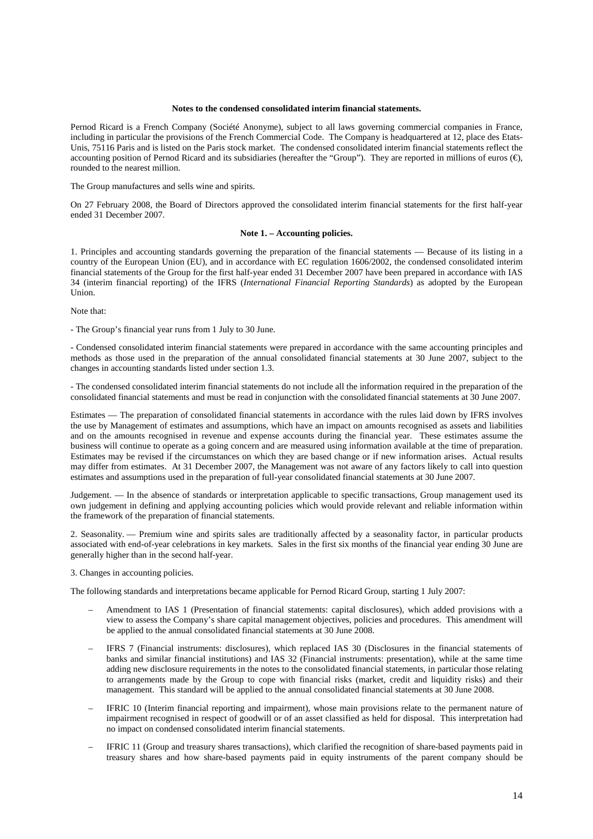#### **Notes to the condensed consolidated interim financial statements.**

Pernod Ricard is a French Company (Société Anonyme), subject to all laws governing commercial companies in France, including in particular the provisions of the French Commercial Code. The Company is headquartered at 12, place des Etats-Unis, 75116 Paris and is listed on the Paris stock market. The condensed consolidated interim financial statements reflect the accounting position of Pernod Ricard and its subsidiaries (hereafter the "Group"). They are reported in millions of euros  $(\epsilon)$ , rounded to the nearest million.

The Group manufactures and sells wine and spirits.

On 27 February 2008, the Board of Directors approved the consolidated interim financial statements for the first half-year ended 31 December 2007.

#### **Note 1. – Accounting policies.**

1. Principles and accounting standards governing the preparation of the financial statements — Because of its listing in a country of the European Union (EU), and in accordance with EC regulation 1606/2002, the condensed consolidated interim financial statements of the Group for the first half-year ended 31 December 2007 have been prepared in accordance with IAS 34 (interim financial reporting) of the IFRS (*International Financial Reporting Standards*) as adopted by the European Union.

Note that:

- The Group's financial year runs from 1 July to 30 June.

- Condensed consolidated interim financial statements were prepared in accordance with the same accounting principles and methods as those used in the preparation of the annual consolidated financial statements at 30 June 2007, subject to the changes in accounting standards listed under section 1.3.

- The condensed consolidated interim financial statements do not include all the information required in the preparation of the consolidated financial statements and must be read in conjunction with the consolidated financial statements at 30 June 2007.

Estimates — The preparation of consolidated financial statements in accordance with the rules laid down by IFRS involves the use by Management of estimates and assumptions, which have an impact on amounts recognised as assets and liabilities and on the amounts recognised in revenue and expense accounts during the financial year. These estimates assume the business will continue to operate as a going concern and are measured using information available at the time of preparation. Estimates may be revised if the circumstances on which they are based change or if new information arises. Actual results may differ from estimates. At 31 December 2007, the Management was not aware of any factors likely to call into question estimates and assumptions used in the preparation of full-year consolidated financial statements at 30 June 2007.

Judgement. — In the absence of standards or interpretation applicable to specific transactions, Group management used its own judgement in defining and applying accounting policies which would provide relevant and reliable information within the framework of the preparation of financial statements.

2. Seasonality. — Premium wine and spirits sales are traditionally affected by a seasonality factor, in particular products associated with end-of-year celebrations in key markets. Sales in the first six months of the financial year ending 30 June are generally higher than in the second half-year.

3. Changes in accounting policies.

The following standards and interpretations became applicable for Pernod Ricard Group, starting 1 July 2007:

- Amendment to IAS 1 (Presentation of financial statements: capital disclosures), which added provisions with a view to assess the Company's share capital management objectives, policies and procedures. This amendment will be applied to the annual consolidated financial statements at 30 June 2008.
- IFRS 7 (Financial instruments: disclosures), which replaced IAS 30 (Disclosures in the financial statements of banks and similar financial institutions) and IAS 32 (Financial instruments: presentation), while at the same time adding new disclosure requirements in the notes to the consolidated financial statements, in particular those relating to arrangements made by the Group to cope with financial risks (market, credit and liquidity risks) and their management. This standard will be applied to the annual consolidated financial statements at 30 June 2008.
- IFRIC 10 (Interim financial reporting and impairment), whose main provisions relate to the permanent nature of impairment recognised in respect of goodwill or of an asset classified as held for disposal. This interpretation had no impact on condensed consolidated interim financial statements.
- IFRIC 11 (Group and treasury shares transactions), which clarified the recognition of share-based payments paid in treasury shares and how share-based payments paid in equity instruments of the parent company should be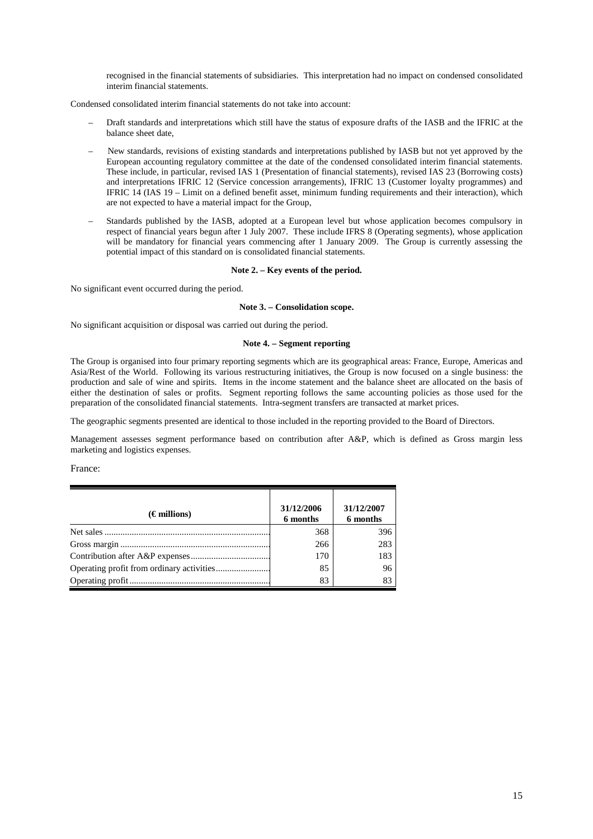recognised in the financial statements of subsidiaries. This interpretation had no impact on condensed consolidated interim financial statements.

Condensed consolidated interim financial statements do not take into account:

- Draft standards and interpretations which still have the status of exposure drafts of the IASB and the IFRIC at the balance sheet date,
- New standards, revisions of existing standards and interpretations published by IASB but not yet approved by the European accounting regulatory committee at the date of the condensed consolidated interim financial statements. These include, in particular, revised IAS 1 (Presentation of financial statements), revised IAS 23 (Borrowing costs) and interpretations IFRIC 12 (Service concession arrangements), IFRIC 13 (Customer loyalty programmes) and IFRIC 14 (IAS 19 – Limit on a defined benefit asset, minimum funding requirements and their interaction), which are not expected to have a material impact for the Group,
- Standards published by the IASB, adopted at a European level but whose application becomes compulsory in respect of financial years begun after 1 July 2007. These include IFRS 8 (Operating segments), whose application will be mandatory for financial years commencing after 1 January 2009. The Group is currently assessing the potential impact of this standard on is consolidated financial statements.

#### **Note 2. – Key events of the period.**

No significant event occurred during the period.

#### **Note 3. – Consolidation scope.**

No significant acquisition or disposal was carried out during the period.

#### **Note 4. – Segment reporting**

The Group is organised into four primary reporting segments which are its geographical areas: France, Europe, Americas and Asia/Rest of the World. Following its various restructuring initiatives, the Group is now focused on a single business: the production and sale of wine and spirits. Items in the income statement and the balance sheet are allocated on the basis of either the destination of sales or profits. Segment reporting follows the same accounting policies as those used for the preparation of the consolidated financial statements. Intra-segment transfers are transacted at market prices.

The geographic segments presented are identical to those included in the reporting provided to the Board of Directors.

Management assesses segment performance based on contribution after A&P, which is defined as Gross margin less marketing and logistics expenses.

France:

| $(\epsilon$ millions) | 31/12/2006<br>6 months | 31/12/2007<br>6 months |
|-----------------------|------------------------|------------------------|
|                       | 368                    | 396                    |
|                       | 266                    | 283                    |
|                       | 170                    | 183                    |
|                       | 85                     | 96                     |
|                       | 83                     | 83                     |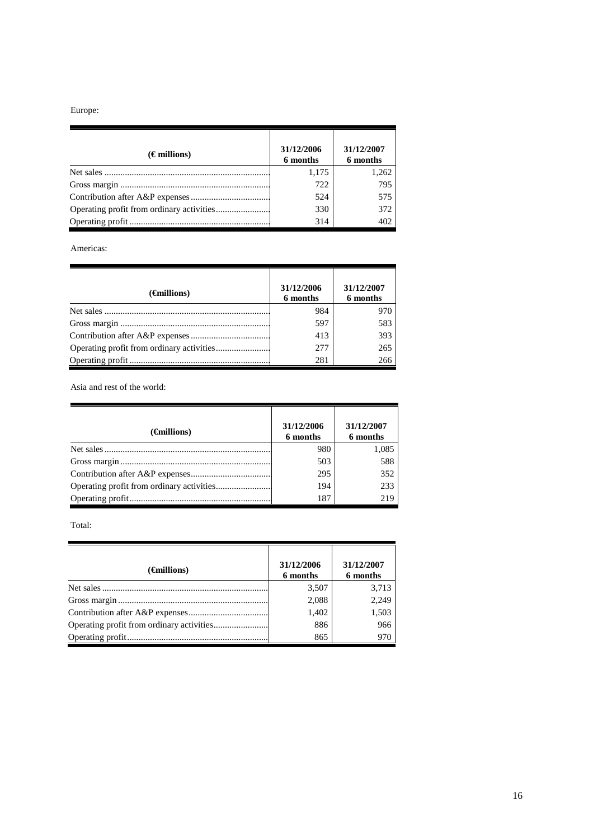# Europe:

| $(\epsilon$ millions) | 31/12/2006<br>6 months | 31/12/2007<br>6 months |
|-----------------------|------------------------|------------------------|
|                       | 1,175                  | 1,262                  |
|                       | 722                    | 795                    |
|                       | 524                    | 575                    |
|                       | 330                    | 372                    |
|                       | 314                    | 402                    |

Americas:

| $(\epsilon$ millions) | 31/12/2006<br>6 months | 31/12/2007<br>6 months |
|-----------------------|------------------------|------------------------|
|                       | 984                    | 970                    |
|                       | 597                    | 583                    |
|                       | 413                    | 393                    |
|                       | 277                    | 265                    |
|                       | 281                    | 266                    |

Asia and rest of the world:

| $(\epsilon$ millions) | 31/12/2006<br>6 months | 31/12/2007<br>6 months |
|-----------------------|------------------------|------------------------|
|                       | 980                    | 1,085                  |
|                       | 503                    | 588                    |
|                       | 295                    | 352                    |
|                       | 194                    | 233                    |
|                       | 187                    | 219                    |

Total:

| $(\epsilon$ millions) | 31/12/2006<br>6 months | 31/12/2007<br>6 months |
|-----------------------|------------------------|------------------------|
|                       | 3,507                  | 3,713                  |
|                       | 2,088                  | 2,249                  |
|                       | 1,402                  | 1,503                  |
|                       | 886                    | 966                    |
|                       | 865                    | 970                    |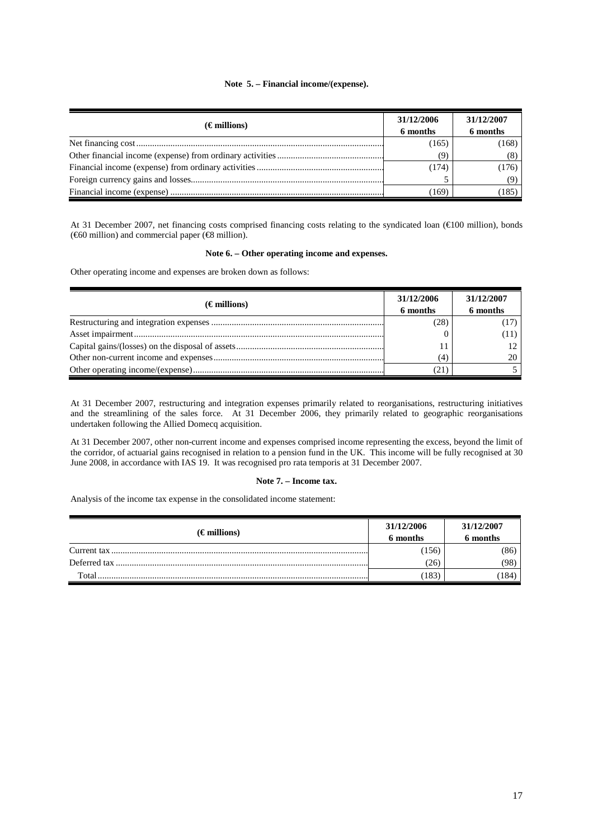# **Note 5. – Financial income/(expense).**

| $(\epsilon$ millions) | 31/12/2006<br>6 months | 31/12/2007<br>6 months |
|-----------------------|------------------------|------------------------|
|                       | (165)                  | (168)                  |
|                       | (9)                    |                        |
|                       | (174)                  | (176)                  |
|                       |                        |                        |
|                       | (169                   | (185                   |

At 31 December 2007, net financing costs comprised financing costs relating to the syndicated loan (€100 million), bonds (€60 million) and commercial paper (€8 million).

### **Note 6. – Other operating income and expenses.**

Other operating income and expenses are broken down as follows:

| $(\epsilon$ millions) | 31/12/2006<br>6 months | 31/12/2007<br>6 months |
|-----------------------|------------------------|------------------------|
|                       | (28)                   |                        |
|                       |                        | [11)                   |
|                       |                        |                        |
|                       | (4)                    |                        |
|                       |                        |                        |

At 31 December 2007, restructuring and integration expenses primarily related to reorganisations, restructuring initiatives and the streamlining of the sales force. At 31 December 2006, they primarily related to geographic reorganisations undertaken following the Allied Domecq acquisition.

At 31 December 2007, other non-current income and expenses comprised income representing the excess, beyond the limit of the corridor, of actuarial gains recognised in relation to a pension fund in the UK. This income will be fully recognised at 30 June 2008, in accordance with IAS 19. It was recognised pro rata temporis at 31 December 2007.

### **Note 7. – Income tax.**

Analysis of the income tax expense in the consolidated income statement:

| $(\epsilon$ millions) | 31/12/2006<br>6 months | 31/12/2007<br>6 months |
|-----------------------|------------------------|------------------------|
|                       | (156)                  | 86)                    |
|                       | (26)                   | (98)                   |
| Total                 | 183                    | 184                    |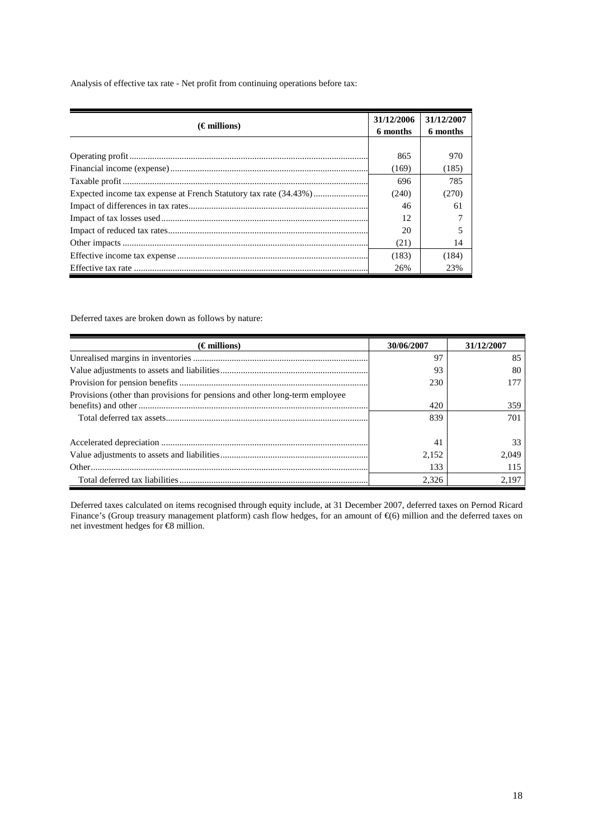Analysis of effective tax rate - Net profit from continuing operations before tax:

| $(\epsilon$ millions) | 31/12/2006<br>6 months | 31/12/2007<br>6 months |
|-----------------------|------------------------|------------------------|
|                       |                        |                        |
|                       | 865                    | 970                    |
|                       | (169)                  | (185)                  |
|                       | 696                    | 785                    |
|                       | (240)                  | (270)                  |
|                       | 46                     | 61                     |
|                       | 12                     |                        |
|                       | 20                     |                        |
|                       | (21)                   | 14                     |
|                       | (183)                  | (184)                  |
|                       | 26%                    | 23%                    |

Deferred taxes are broken down as follows by nature:

| $(\epsilon$ millions)                                                       | 30/06/2007 | 31/12/2007 |
|-----------------------------------------------------------------------------|------------|------------|
|                                                                             | 97         | 85         |
|                                                                             | 93         | 80         |
|                                                                             | 230        |            |
| Provisions (other than provisions for pensions and other long-term employee |            |            |
|                                                                             | 420        | 359        |
|                                                                             | 839        | 701        |
|                                                                             | 41         | 33         |
|                                                                             | 2,152      | 2.049      |
|                                                                             | 133        | 115        |
|                                                                             | 2.326      | 2.197      |

Deferred taxes calculated on items recognised through equity include, at 31 December 2007, deferred taxes on Pernod Ricard Finance's (Group treasury management platform) cash flow hedges, for an amount of €(6) million and the deferred taxes on net investment hedges for €8 million.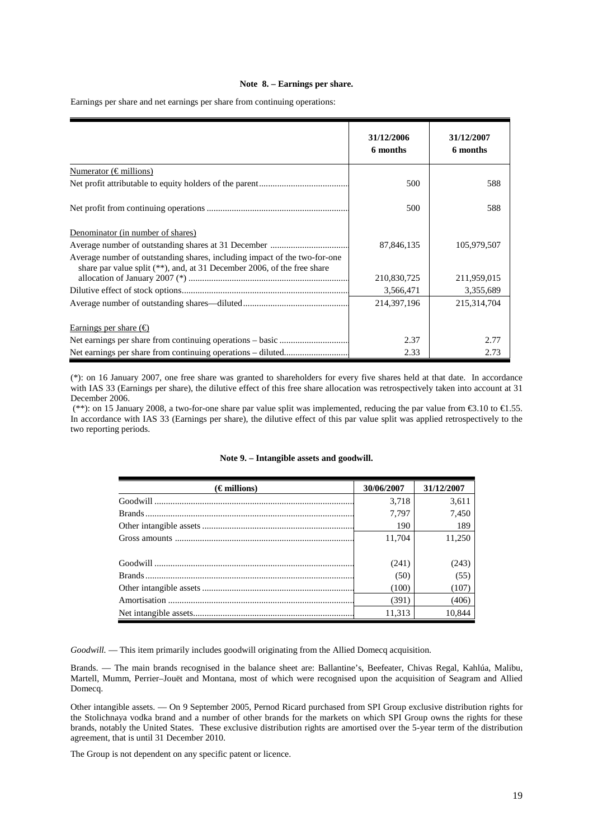#### **Note 8. – Earnings per share.**

Earnings per share and net earnings per share from continuing operations:

|                                                                                                                                                         | 31/12/2006<br>6 months | 31/12/2007<br>6 months |
|---------------------------------------------------------------------------------------------------------------------------------------------------------|------------------------|------------------------|
| Numerator ( $\in$ millions)                                                                                                                             |                        |                        |
|                                                                                                                                                         | 500                    | 588                    |
|                                                                                                                                                         | 500                    | 588                    |
| Denominator (in number of shares)                                                                                                                       |                        |                        |
|                                                                                                                                                         | 87,846,135             | 105,979,507            |
| Average number of outstanding shares, including impact of the two-for-one<br>share par value split $(**)$ , and, at 31 December 2006, of the free share |                        |                        |
|                                                                                                                                                         | 210,830,725            | 211,959,015            |
|                                                                                                                                                         | 3,566,471              | 3,355,689              |
|                                                                                                                                                         | 214,397,196            | 215,314,704            |
| Earnings per share $(\epsilon)$                                                                                                                         |                        |                        |
|                                                                                                                                                         | 2.37                   | 2.77                   |
|                                                                                                                                                         | 2.33                   | 2.73                   |

(\*): on 16 January 2007, one free share was granted to shareholders for every five shares held at that date. In accordance with IAS 33 (Earnings per share), the dilutive effect of this free share allocation was retrospectively taken into account at 31 December 2006.

 (\*\*): on 15 January 2008, a two-for-one share par value split was implemented, reducing the par value from €3.10 to €1.55. In accordance with IAS 33 (Earnings per share), the dilutive effect of this par value split was applied retrospectively to the two reporting periods.

| $(\epsilon$ millions) | 30/06/2007 | 31/12/2007 |
|-----------------------|------------|------------|
|                       | 3,718      | 3,611      |
|                       | 7,797      | 7,450      |
|                       | 190        | 189        |
|                       | 11,704     | 11,250     |
|                       |            |            |
|                       | (241)      | (243)      |
|                       | (50)       | (55)       |
|                       | (100)      | (107)      |
|                       | (391)      | (406)      |
|                       | 11,313     | 10,844     |

#### **Note 9. – Intangible assets and goodwill.**

*Goodwill.* — This item primarily includes goodwill originating from the Allied Domecq acquisition.

Brands. — The main brands recognised in the balance sheet are: Ballantine's, Beefeater, Chivas Regal, Kahlúa, Malibu, Martell, Mumm, Perrier–Jouët and Montana, most of which were recognised upon the acquisition of Seagram and Allied Domecq.

Other intangible assets. — On 9 September 2005, Pernod Ricard purchased from SPI Group exclusive distribution rights for the Stolichnaya vodka brand and a number of other brands for the markets on which SPI Group owns the rights for these brands, notably the United States. These exclusive distribution rights are amortised over the 5-year term of the distribution agreement, that is until 31 December 2010.

The Group is not dependent on any specific patent or licence.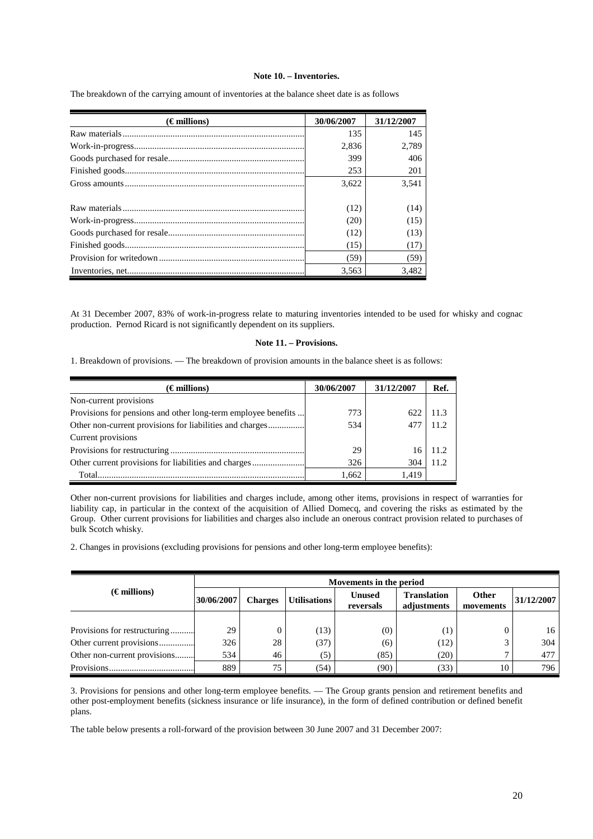# **Note 10. – Inventories.**

| $(\epsilon$ millions) | 30/06/2007 | 31/12/2007 |
|-----------------------|------------|------------|
|                       | 135        | 145        |
|                       | 2,836      | 2,789      |
|                       | 399        | 406        |
|                       | 253        | 201        |
|                       | 3,622      | 3,541      |
|                       | (12)       | (14)       |
|                       | (20)       | (15)       |
|                       | (12)       | (13)       |
|                       | (15)       | (17)       |
|                       | (59)       | (59)       |
|                       | 3.563      | 3.482      |

The breakdown of the carrying amount of inventories at the balance sheet date is as follows

At 31 December 2007, 83% of work-in-progress relate to maturing inventories intended to be used for whisky and cognac production. Pernod Ricard is not significantly dependent on its suppliers.

#### **Note 11. – Provisions.**

1. Breakdown of provisions. — The breakdown of provision amounts in the balance sheet is as follows:

| $(\epsilon$ millions)                                         | 30/06/2007 | 31/12/2007 | Ref.  |
|---------------------------------------------------------------|------------|------------|-------|
| Non-current provisions                                        |            |            |       |
| Provisions for pensions and other long-term employee benefits | 773        | 622        | 11.3  |
| Other non-current provisions for liabilities and charges      | 534        | 477        | 11.2  |
| Current provisions                                            |            |            |       |
|                                                               | 29         | 16         | 11.2. |
| Other current provisions for liabilities and charges          | 326        | 304        | 11.2  |
| Total.                                                        | 1,662      | 1.419      |       |

Other non-current provisions for liabilities and charges include, among other items, provisions in respect of warranties for liability cap, in particular in the context of the acquisition of Allied Domecq, and covering the risks as estimated by the Group. Other current provisions for liabilities and charges also include an onerous contract provision related to purchases of bulk Scotch whisky.

2. Changes in provisions (excluding provisions for pensions and other long-term employee benefits):

|                              |                                                                                   | Movements in the period |      |                                   |                           |            |     |  |
|------------------------------|-----------------------------------------------------------------------------------|-------------------------|------|-----------------------------------|---------------------------|------------|-----|--|
| $(\epsilon$ millions)        | <b>Unused</b><br>30/06/2007<br><b>Utilisations</b><br><b>Charges</b><br>reversals |                         |      | <b>Translation</b><br>adjustments | <b>Other</b><br>movements | 31/12/2007 |     |  |
|                              |                                                                                   |                         |      |                                   |                           |            |     |  |
| Provisions for restructuring | 29                                                                                | 0                       | (13) | (0)                               | $\scriptstyle{(1)}$       |            | 16  |  |
| Other current provisions     | 326                                                                               | 28                      | (37) | (6)                               | (12)                      |            | 304 |  |
| Other non-current provisions | 534                                                                               | 46                      | (5)  | (85)                              | (20)                      |            | 477 |  |
|                              | 889                                                                               | 75                      | (54) | (90)                              | (33)                      | 10         | 796 |  |

3. Provisions for pensions and other long-term employee benefits. — The Group grants pension and retirement benefits and other post-employment benefits (sickness insurance or life insurance), in the form of defined contribution or defined benefit plans.

The table below presents a roll-forward of the provision between 30 June 2007 and 31 December 2007: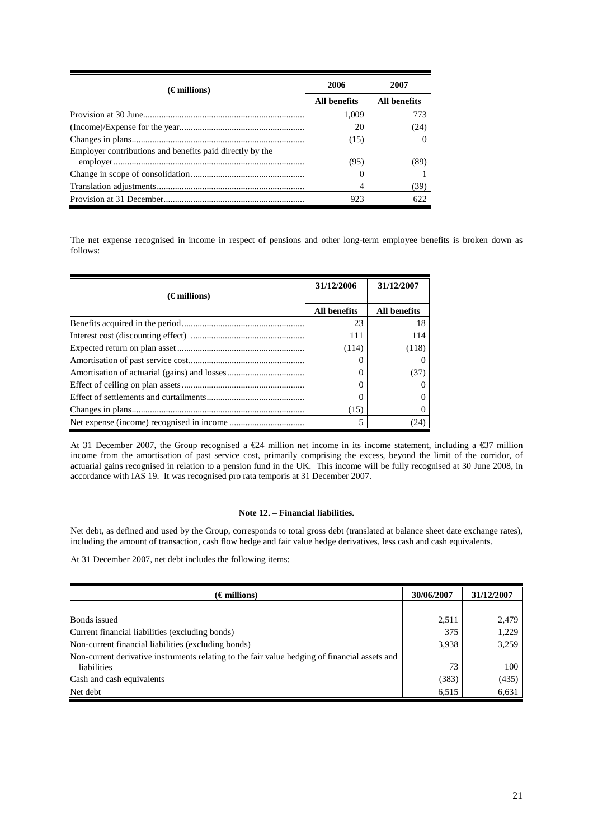| $(\epsilon$ millions)                                    | 2006                | 2007         |  |
|----------------------------------------------------------|---------------------|--------------|--|
|                                                          | <b>All benefits</b> | All benefits |  |
|                                                          | 1.009               | 773          |  |
|                                                          | 20                  | (24)         |  |
|                                                          | (15)                | $\theta$     |  |
| Employer contributions and benefits paid directly by the | (95)                | (89)         |  |
|                                                          | O                   |              |  |
|                                                          | 4                   | (39)         |  |
|                                                          | 923                 | 622          |  |

The net expense recognised in income in respect of pensions and other long-term employee benefits is broken down as follows:

|                       | 31/12/2006          | 31/12/2007          |
|-----------------------|---------------------|---------------------|
| $(\epsilon$ millions) |                     |                     |
|                       | <b>All benefits</b> | <b>All benefits</b> |
|                       | 23                  | 18                  |
|                       | 111                 | 114                 |
|                       | (114)               | (118)               |
|                       |                     |                     |
|                       |                     | (37)                |
|                       |                     |                     |
|                       |                     | 0                   |
|                       | (15)                | $\theta$            |
|                       |                     | (24)                |

At 31 December 2007, the Group recognised a €24 milion net income in its income statement, including a €37 million income from the amortisation of past service cost, primarily comprising the excess, beyond the limit of the corridor, of actuarial gains recognised in relation to a pension fund in the UK. This income will be fully recognised at 30 June 2008, in accordance with IAS 19. It was recognised pro rata temporis at 31 December 2007.

# **Note 12. – Financial liabilities.**

Net debt, as defined and used by the Group, corresponds to total gross debt (translated at balance sheet date exchange rates), including the amount of transaction, cash flow hedge and fair value hedge derivatives, less cash and cash equivalents.

At 31 December 2007, net debt includes the following items:

| $(\epsilon$ millions)                                                                         | 30/06/2007 | 31/12/2007 |
|-----------------------------------------------------------------------------------------------|------------|------------|
|                                                                                               |            |            |
| Bonds issued                                                                                  | 2,511      | 2,479      |
| Current financial liabilities (excluding bonds)                                               | 375        | 1,229      |
| Non-current financial liabilities (excluding bonds)                                           | 3,938      | 3,259      |
| Non-current derivative instruments relating to the fair value hedging of financial assets and |            |            |
| liabilities                                                                                   | 73         | 100        |
| Cash and cash equivalents                                                                     | (383)      | (435)      |
| Net debt                                                                                      | 6,515      | 6,631      |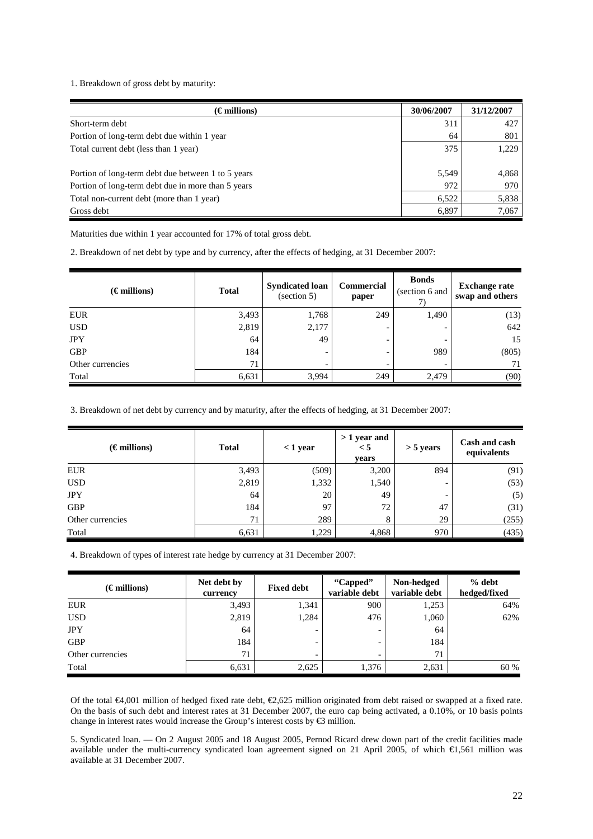1. Breakdown of gross debt by maturity:

| $(\epsilon$ millions)                              | 30/06/2007 | 31/12/2007 |
|----------------------------------------------------|------------|------------|
| Short-term debt                                    | 311        | 427        |
| Portion of long-term debt due within 1 year        | 64         | 801        |
| Total current debt (less than 1 year)              | 375        | 1,229      |
| Portion of long-term debt due between 1 to 5 years | 5,549      | 4,868      |
| Portion of long-term debt due in more than 5 years | 972        | 970        |
| Total non-current debt (more than 1 year)          | 6,522      | 5,838      |
| Gross debt                                         | 6,897      | 7,067      |

Maturities due within 1 year accounted for 17% of total gross debt.

2. Breakdown of net debt by type and by currency, after the effects of hedging, at 31 December 2007:

| $(\epsilon$ millions) | <b>Total</b> | <b>Syndicated loan</b><br>(section 5) | <b>Commercial</b><br>paper   | <b>Bonds</b><br>(section 6 and | <b>Exchange rate</b><br>swap and others |
|-----------------------|--------------|---------------------------------------|------------------------------|--------------------------------|-----------------------------------------|
| <b>EUR</b>            | 3,493        | 1,768                                 | 249                          | 1,490                          | (13)                                    |
| <b>USD</b>            | 2,819        | 2,177                                 | $\qquad \qquad \blacksquare$ |                                | 642                                     |
| <b>JPY</b>            | 64           | 49                                    | -                            | -                              | 15                                      |
| <b>GBP</b>            | 184          | $\overline{\phantom{0}}$              | $\overline{\phantom{0}}$     | 989                            | (805)                                   |
| Other currencies      | 71           | -                                     |                              |                                | 71                                      |
| Total                 | 6,631        | 3,994                                 | 249                          | 2,479                          | (90)                                    |

3. Breakdown of net debt by currency and by maturity, after the effects of hedging, at 31 December 2007:

| $(\epsilon$ millions) | <b>Total</b> | $<$ 1 year | $>1$ year and<br>$\leq 5$<br>vears | $>$ 5 years | Cash and cash<br>equivalents |
|-----------------------|--------------|------------|------------------------------------|-------------|------------------------------|
| <b>EUR</b>            | 3,493        | (509)      | 3,200                              | 894         | (91)                         |
| <b>USD</b>            | 2,819        | 1,332      | 1,540                              | -           | (53)                         |
| <b>JPY</b>            | 64           | 20         | 49                                 | -           | (5)                          |
| <b>GBP</b>            | 184          | 97         | 72                                 | 47          | (31)                         |
| Other currencies      | 71           | 289        | 8                                  | 29          | (255)                        |
| Total                 | 6,631        | 1,229      | 4,868                              | 970         | (435)                        |

4. Breakdown of types of interest rate hedge by currency at 31 December 2007:

| $(\epsilon$ millions) | Net debt by<br>currency | <b>Fixed debt</b> | "Capped"<br>variable debt | Non-hedged<br>variable debt | $%$ debt<br>hedged/fixed |
|-----------------------|-------------------------|-------------------|---------------------------|-----------------------------|--------------------------|
| <b>EUR</b>            | 3,493                   | 1,341             | 900                       | 1,253                       | 64%                      |
| <b>USD</b>            | 2,819                   | 1,284             | 476                       | 1,060                       | 62%                      |
| <b>JPY</b>            | 64                      |                   |                           | 64                          |                          |
| <b>GBP</b>            | 184                     |                   |                           | 184                         |                          |
| Other currencies      | 71                      |                   | -                         | 71                          |                          |
| Total                 | 6,631                   | 2,625             | 1,376                     | 2,631                       | 60 %                     |

Of the total €4,001 million of hedged fixed rate debt, €2,625 million originated from debt raised or swapped at a fixed rate. On the basis of such debt and interest rates at 31 December 2007, the euro cap being activated, a 0.10%, or 10 basis points change in interest rates would increase the Group's interest costs by €3 million.

5. Syndicated loan. — On 2 August 2005 and 18 August 2005, Pernod Ricard drew down part of the credit facilities made available under the multi-currency syndicated loan agreement signed on 21 April 2005, of which €1,561 million was available at 31 December 2007.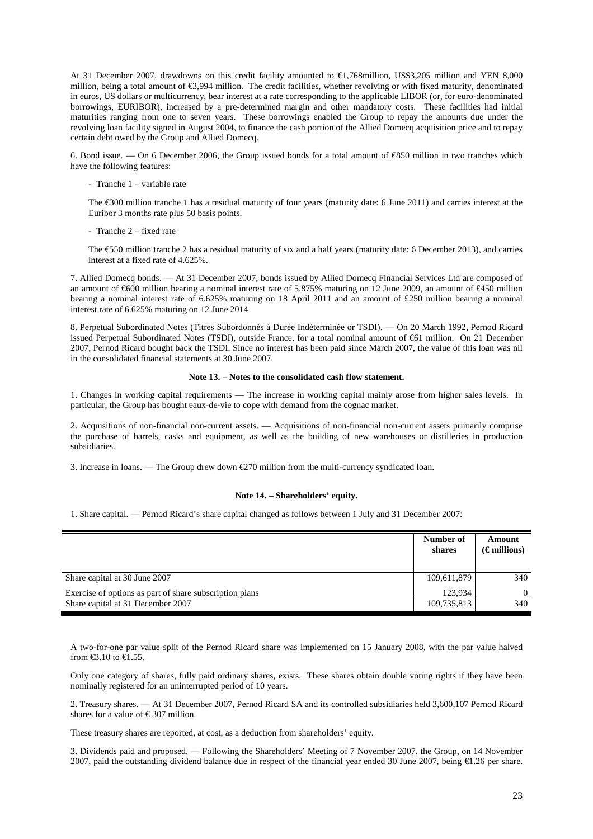At 31 December 2007, drawdowns on this credit facility amounted to €1,768million, US\$3,205 million and YEN 8,000 million, being a total amount of €3,994 million. The credit facilities, whether revolving or with fixed maturity, denominated in euros, US dollars or multicurrency, bear interest at a rate corresponding to the applicable LIBOR (or, for euro-denominated borrowings, EURIBOR), increased by a pre-determined margin and other mandatory costs. These facilities had initial maturities ranging from one to seven years. These borrowings enabled the Group to repay the amounts due under the revolving loan facility signed in August 2004, to finance the cash portion of the Allied Domecq acquisition price and to repay certain debt owed by the Group and Allied Domecq.

6. Bond issue. — On 6 December 2006, the Group issued bonds for a total amount of  $\epsilon$ 850 million in two tranches which have the following features:

- Tranche 1 – variable rate

The €300 million tranche 1 has a residual maturity of four years (maturity date: 6 June 2011) and carries interest at the Euribor 3 months rate plus 50 basis points.

- Tranche 2 – fixed rate

The €550 million tranche 2 has a residual maturity of six and a half years (maturity date: 6 December 2013), and carries interest at a fixed rate of 4.625%.

7. Allied Domecq bonds. — At 31 December 2007, bonds issued by Allied Domecq Financial Services Ltd are composed of an amount of  $\epsilon$ 600 million bearing a nominal interest rate of 5.875% maturing on 12 June 2009, an amount of £450 million bearing a nominal interest rate of 6.625% maturing on 18 April 2011 and an amount of £250 million bearing a nominal interest rate of 6.625% maturing on 12 June 2014

8. Perpetual Subordinated Notes (Titres Subordonnés à Durée Indéterminée or TSDI). — On 20 March 1992, Pernod Ricard issued Perpetual Subordinated Notes (TSDI), outside France, for a total nominal amount of €61 million. On 21 December 2007, Pernod Ricard bought back the TSDI. Since no interest has been paid since March 2007, the value of this loan was nil in the consolidated financial statements at 30 June 2007.

### **Note 13. – Notes to the consolidated cash flow statement.**

1. Changes in working capital requirements — The increase in working capital mainly arose from higher sales levels. In particular, the Group has bought eaux-de-vie to cope with demand from the cognac market.

2. Acquisitions of non-financial non-current assets. — Acquisitions of non-financial non-current assets primarily comprise the purchase of barrels, casks and equipment, as well as the building of new warehouses or distilleries in production subsidiaries.

3. Increase in loans. — The Group drew down  $\epsilon$ 270 million from the multi-currency syndicated loan.

#### **Note 14. – Shareholders' equity.**

1. Share capital. — Pernod Ricard's share capital changed as follows between 1 July and 31 December 2007:

|                                                         | Number of<br>shares | Amount<br>$(\epsilon$ millions) |
|---------------------------------------------------------|---------------------|---------------------------------|
| Share capital at 30 June 2007                           | 109,611,879         | 340                             |
| Exercise of options as part of share subscription plans | 123.934             | $\Omega$                        |
| Share capital at 31 December 2007                       | 109,735,813         | 340                             |

A two-for-one par value split of the Pernod Ricard share was implemented on 15 January 2008, with the par value halved from  $\text{\textsterling}3.10$  to  $\text{\textsterling}1.55$ .

Only one category of shares, fully paid ordinary shares, exists. These shares obtain double voting rights if they have been nominally registered for an uninterrupted period of 10 years.

2. Treasury shares. — At 31 December 2007, Pernod Ricard SA and its controlled subsidiaries held 3,600,107 Pernod Ricard shares for a value of  $\epsilon$  307 million.

These treasury shares are reported, at cost, as a deduction from shareholders' equity.

3. Dividends paid and proposed. — Following the Shareholders' Meeting of 7 November 2007, the Group, on 14 November 2007, paid the outstanding dividend balance due in respect of the financial year ended 30 June 2007, being €1.26 per share.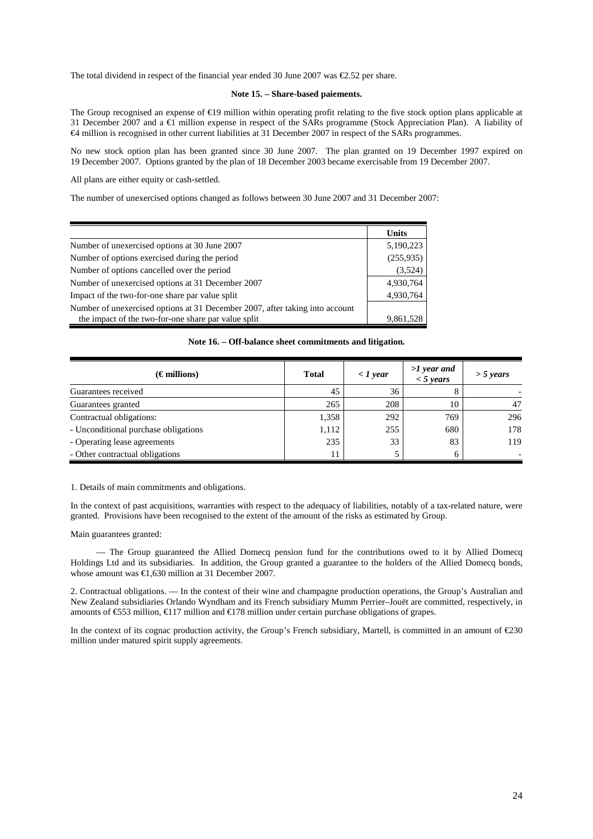The total dividend in respect of the financial year ended 30 June 2007 was  $\epsilon$ 2.52 per share.

#### **Note 15. – Share-based paiements.**

The Group recognised an expense of  $\epsilon$ 19 million within operating profit relating to the five stock option plans applicable at 31 December 2007 and a €1 million expense in respect of the SARs programme (Stock Appreciation Plan). A liability of €4 million is recognised in other current liabilities at 31 December 2007 in respect of the SARs programmes.

No new stock option plan has been granted since 30 June 2007. The plan granted on 19 December 1997 expired on 19 December 2007. Options granted by the plan of 18 December 2003 became exercisable from 19 December 2007.

All plans are either equity or cash-settled.

The number of unexercised options changed as follows between 30 June 2007 and 31 December 2007:

|                                                                              | <b>Units</b> |
|------------------------------------------------------------------------------|--------------|
| Number of unexercised options at 30 June 2007                                | 5,190,223    |
| Number of options exercised during the period                                | (255,935)    |
| Number of options cancelled over the period                                  | (3,524)      |
| Number of unexercised options at 31 December 2007                            | 4,930,764    |
| Impact of the two-for-one share par value split                              | 4,930,764    |
| Number of unexercised options at 31 December 2007, after taking into account |              |
| the impact of the two-for-one share par value split                          | 9,861,528    |

**Note 16. – Off-balance sheet commitments and litigation.** 

| $(\epsilon$ millions)                | <b>Total</b> | $\langle$ 1 year | $>1$ year and<br>$<$ 5 years | $>$ 5 years |
|--------------------------------------|--------------|------------------|------------------------------|-------------|
| Guarantees received                  | 45           | 36               |                              |             |
| Guarantees granted                   | 265          | 208              | 10                           | 47          |
| Contractual obligations:             | 1,358        | 292              | 769                          | 296         |
| - Unconditional purchase obligations | 1,112        | 255              | 680                          | 178         |
| - Operating lease agreements         | 235          | 33               | 83                           | 119         |
| - Other contractual obligations      |              |                  |                              |             |

#### 1. Details of main commitments and obligations.

In the context of past acquisitions, warranties with respect to the adequacy of liabilities, notably of a tax-related nature, were granted. Provisions have been recognised to the extent of the amount of the risks as estimated by Group.

#### Main guarantees granted:

 — The Group guaranteed the Allied Domecq pension fund for the contributions owed to it by Allied Domecq Holdings Ltd and its subsidiaries. In addition, the Group granted a guarantee to the holders of the Allied Domecq bonds, whose amount was €1,630 million at 31 December 2007.

2. Contractual obligations. — In the context of their wine and champagne production operations, the Group's Australian and New Zealand subsidiaries Orlando Wyndham and its French subsidiary Mumm Perrier–Jouët are committed, respectively, in amounts of €553 million, €117 million and €178 million under certain purchase obligations of grapes.

In the context of its cognac production activity, the Group's French subsidiary, Martell, is committed in an amount of €230 million under matured spirit supply agreements.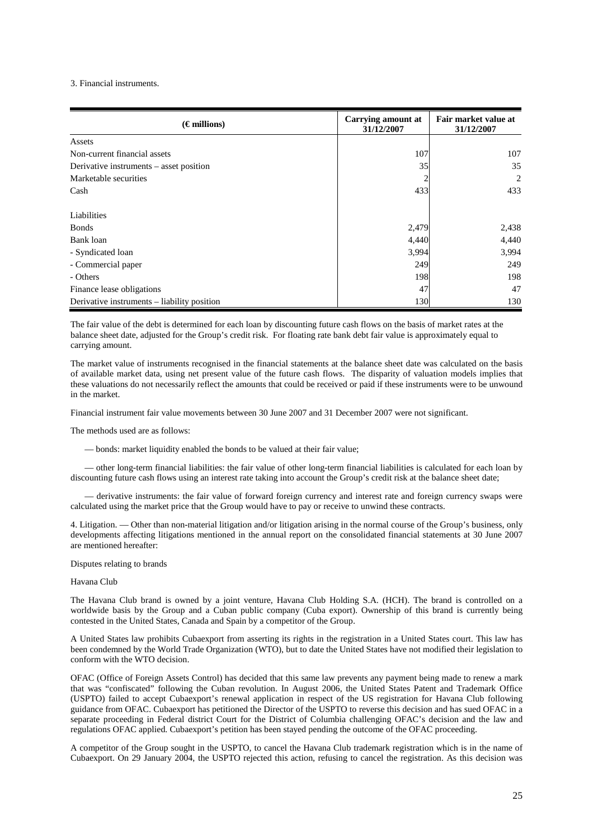#### 3. Financial instruments.

| $(\epsilon$ millions)                       | <b>Carrying amount at</b><br>31/12/2007 |       |
|---------------------------------------------|-----------------------------------------|-------|
| Assets                                      |                                         |       |
| Non-current financial assets                | 107                                     | 107   |
| Derivative instruments – asset position     | 35                                      | 35    |
| Marketable securities                       |                                         | 2     |
| Cash                                        | 433                                     | 433   |
| Liabilities                                 |                                         |       |
| <b>Bonds</b>                                | 2,479                                   | 2,438 |
| Bank loan                                   | 4,440                                   | 4,440 |
| - Syndicated loan                           | 3,994                                   | 3,994 |
| - Commercial paper                          | 249                                     | 249   |
| - Others                                    | 198                                     | 198   |
| Finance lease obligations                   | 47                                      | 47    |
| Derivative instruments – liability position | 130                                     | 130   |

The fair value of the debt is determined for each loan by discounting future cash flows on the basis of market rates at the balance sheet date, adjusted for the Group's credit risk. For floating rate bank debt fair value is approximately equal to carrying amount.

The market value of instruments recognised in the financial statements at the balance sheet date was calculated on the basis of available market data, using net present value of the future cash flows. The disparity of valuation models implies that these valuations do not necessarily reflect the amounts that could be received or paid if these instruments were to be unwound in the market.

Financial instrument fair value movements between 30 June 2007 and 31 December 2007 were not significant.

The methods used are as follows:

— bonds: market liquidity enabled the bonds to be valued at their fair value;

— other long-term financial liabilities: the fair value of other long-term financial liabilities is calculated for each loan by discounting future cash flows using an interest rate taking into account the Group's credit risk at the balance sheet date;

— derivative instruments: the fair value of forward foreign currency and interest rate and foreign currency swaps were calculated using the market price that the Group would have to pay or receive to unwind these contracts.

4. Litigation. — Other than non-material litigation and/or litigation arising in the normal course of the Group's business, only developments affecting litigations mentioned in the annual report on the consolidated financial statements at 30 June 2007 are mentioned hereafter:

Disputes relating to brands

Havana Club

The Havana Club brand is owned by a joint venture, Havana Club Holding S.A. (HCH). The brand is controlled on a worldwide basis by the Group and a Cuban public company (Cuba export). Ownership of this brand is currently being contested in the United States, Canada and Spain by a competitor of the Group.

A United States law prohibits Cubaexport from asserting its rights in the registration in a United States court. This law has been condemned by the World Trade Organization (WTO), but to date the United States have not modified their legislation to conform with the WTO decision.

OFAC (Office of Foreign Assets Control) has decided that this same law prevents any payment being made to renew a mark that was "confiscated" following the Cuban revolution. In August 2006, the United States Patent and Trademark Office (USPTO) failed to accept Cubaexport's renewal application in respect of the US registration for Havana Club following guidance from OFAC. Cubaexport has petitioned the Director of the USPTO to reverse this decision and has sued OFAC in a separate proceeding in Federal district Court for the District of Columbia challenging OFAC's decision and the law and regulations OFAC applied. Cubaexport's petition has been stayed pending the outcome of the OFAC proceeding.

A competitor of the Group sought in the USPTO, to cancel the Havana Club trademark registration which is in the name of Cubaexport. On 29 January 2004, the USPTO rejected this action, refusing to cancel the registration. As this decision was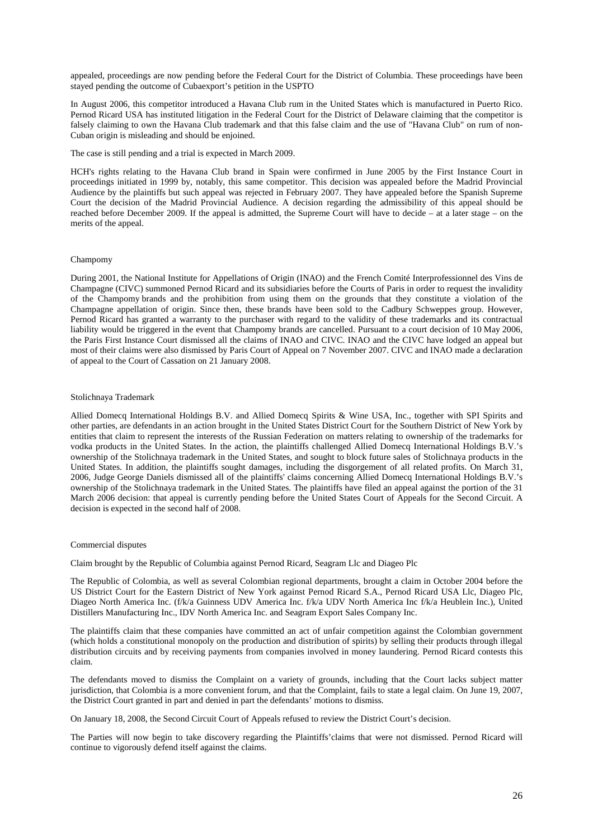appealed, proceedings are now pending before the Federal Court for the District of Columbia. These proceedings have been stayed pending the outcome of Cubaexport's petition in the USPTO

In August 2006, this competitor introduced a Havana Club rum in the United States which is manufactured in Puerto Rico. Pernod Ricard USA has instituted litigation in the Federal Court for the District of Delaware claiming that the competitor is falsely claiming to own the Havana Club trademark and that this false claim and the use of "Havana Club" on rum of non-Cuban origin is misleading and should be enjoined.

The case is still pending and a trial is expected in March 2009.

HCH's rights relating to the Havana Club brand in Spain were confirmed in June 2005 by the First Instance Court in proceedings initiated in 1999 by, notably, this same competitor. This decision was appealed before the Madrid Provincial Audience by the plaintiffs but such appeal was rejected in February 2007. They have appealed before the Spanish Supreme Court the decision of the Madrid Provincial Audience. A decision regarding the admissibility of this appeal should be reached before December 2009. If the appeal is admitted, the Supreme Court will have to decide – at a later stage – on the merits of the appeal.

# Champomy

During 2001, the National Institute for Appellations of Origin (INAO) and the French Comité Interprofessionnel des Vins de Champagne (CIVC) summoned Pernod Ricard and its subsidiaries before the Courts of Paris in order to request the invalidity of the Champomy brands and the prohibition from using them on the grounds that they constitute a violation of the Champagne appellation of origin. Since then, these brands have been sold to the Cadbury Schweppes group. However, Pernod Ricard has granted a warranty to the purchaser with regard to the validity of these trademarks and its contractual liability would be triggered in the event that Champomy brands are cancelled. Pursuant to a court decision of 10 May 2006, the Paris First Instance Court dismissed all the claims of INAO and CIVC. INAO and the CIVC have lodged an appeal but most of their claims were also dismissed by Paris Court of Appeal on 7 November 2007. CIVC and INAO made a declaration of appeal to the Court of Cassation on 21 January 2008.

#### Stolichnaya Trademark

Allied Domecq International Holdings B.V. and Allied Domecq Spirits & Wine USA, Inc., together with SPI Spirits and other parties, are defendants in an action brought in the United States District Court for the Southern District of New York by entities that claim to represent the interests of the Russian Federation on matters relating to ownership of the trademarks for vodka products in the United States. In the action, the plaintiffs challenged Allied Domecq International Holdings B.V.'s ownership of the Stolichnaya trademark in the United States, and sought to block future sales of Stolichnaya products in the United States. In addition, the plaintiffs sought damages, including the disgorgement of all related profits. On March 31, 2006, Judge George Daniels dismissed all of the plaintiffs' claims concerning Allied Domecq International Holdings B.V.'s ownership of the Stolichnaya trademark in the United States. The plaintiffs have filed an appeal against the portion of the 31 March 2006 decision: that appeal is currently pending before the United States Court of Appeals for the Second Circuit. A decision is expected in the second half of 2008.

#### Commercial disputes

Claim brought by the Republic of Columbia against Pernod Ricard, Seagram Llc and Diageo Plc

The Republic of Colombia, as well as several Colombian regional departments, brought a claim in October 2004 before the US District Court for the Eastern District of New York against Pernod Ricard S.A., Pernod Ricard USA Llc, Diageo Plc, Diageo North America Inc. (f/k/a Guinness UDV America Inc. f/k/a UDV North America Inc f/k/a Heublein Inc.), United Distillers Manufacturing Inc., IDV North America Inc. and Seagram Export Sales Company Inc.

The plaintiffs claim that these companies have committed an act of unfair competition against the Colombian government (which holds a constitutional monopoly on the production and distribution of spirits) by selling their products through illegal distribution circuits and by receiving payments from companies involved in money laundering. Pernod Ricard contests this claim.

The defendants moved to dismiss the Complaint on a variety of grounds, including that the Court lacks subject matter jurisdiction, that Colombia is a more convenient forum, and that the Complaint, fails to state a legal claim. On June 19, 2007, the District Court granted in part and denied in part the defendants' motions to dismiss.

On January 18, 2008, the Second Circuit Court of Appeals refused to review the District Court's decision.

The Parties will now begin to take discovery regarding the Plaintiffs'claims that were not dismissed. Pernod Ricard will continue to vigorously defend itself against the claims.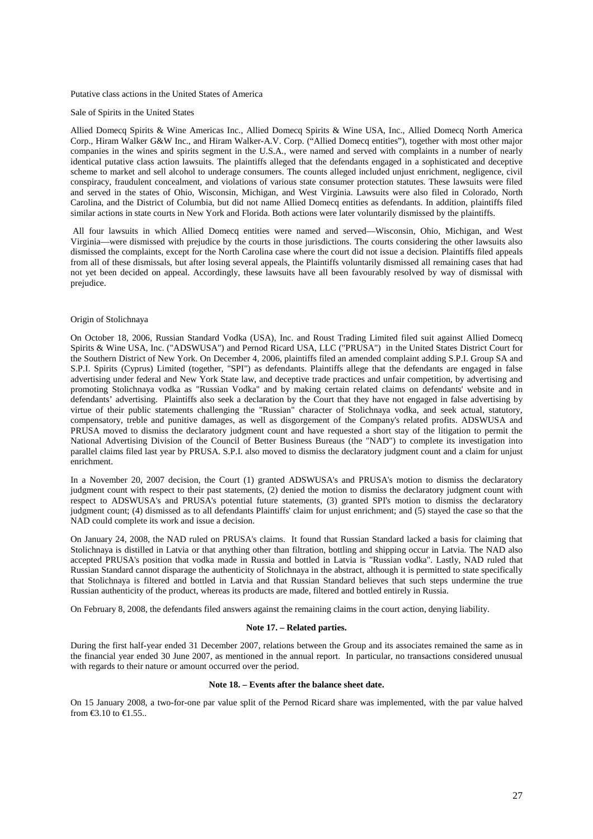#### Putative class actions in the United States of America

#### Sale of Spirits in the United States

Allied Domecq Spirits & Wine Americas Inc., Allied Domecq Spirits & Wine USA, Inc., Allied Domecq North America Corp., Hiram Walker G&W Inc., and Hiram Walker-A.V. Corp. ("Allied Domecq entities"), together with most other major companies in the wines and spirits segment in the U.S.A., were named and served with complaints in a number of nearly identical putative class action lawsuits. The plaintiffs alleged that the defendants engaged in a sophisticated and deceptive scheme to market and sell alcohol to underage consumers. The counts alleged included unjust enrichment, negligence, civil conspiracy, fraudulent concealment, and violations of various state consumer protection statutes. These lawsuits were filed and served in the states of Ohio, Wisconsin, Michigan, and West Virginia. Lawsuits were also filed in Colorado, North Carolina, and the District of Columbia, but did not name Allied Domecq entities as defendants. In addition, plaintiffs filed similar actions in state courts in New York and Florida. Both actions were later voluntarily dismissed by the plaintiffs.

 All four lawsuits in which Allied Domecq entities were named and served—Wisconsin, Ohio, Michigan, and West Virginia—were dismissed with prejudice by the courts in those jurisdictions. The courts considering the other lawsuits also dismissed the complaints, except for the North Carolina case where the court did not issue a decision. Plaintiffs filed appeals from all of these dismissals, but after losing several appeals, the Plaintiffs voluntarily dismissed all remaining cases that had not yet been decided on appeal. Accordingly, these lawsuits have all been favourably resolved by way of dismissal with prejudice.

#### Origin of Stolichnaya

On October 18, 2006, Russian Standard Vodka (USA), Inc. and Roust Trading Limited filed suit against Allied Domecq Spirits & Wine USA, Inc. ("ADSWUSA") and Pernod Ricard USA, LLC ("PRUSA") in the United States District Court for the Southern District of New York. On December 4, 2006, plaintiffs filed an amended complaint adding S.P.I. Group SA and S.P.I. Spirits (Cyprus) Limited (together, "SPI") as defendants. Plaintiffs allege that the defendants are engaged in false advertising under federal and New York State law, and deceptive trade practices and unfair competition, by advertising and promoting Stolichnaya vodka as "Russian Vodka" and by making certain related claims on defendants' website and in defendants' advertising. Plaintiffs also seek a declaration by the Court that they have not engaged in false advertising by virtue of their public statements challenging the "Russian" character of Stolichnaya vodka, and seek actual, statutory, compensatory, treble and punitive damages, as well as disgorgement of the Company's related profits. ADSWUSA and PRUSA moved to dismiss the declaratory judgment count and have requested a short stay of the litigation to permit the National Advertising Division of the Council of Better Business Bureaus (the "NAD") to complete its investigation into parallel claims filed last year by PRUSA. S.P.I. also moved to dismiss the declaratory judgment count and a claim for unjust enrichment.

In a November 20, 2007 decision, the Court (1) granted ADSWUSA's and PRUSA's motion to dismiss the declaratory judgment count with respect to their past statements, (2) denied the motion to dismiss the declaratory judgment count with respect to ADSWUSA's and PRUSA's potential future statements, (3) granted SPI's motion to dismiss the declaratory judgment count; (4) dismissed as to all defendants Plaintiffs' claim for unjust enrichment; and (5) stayed the case so that the NAD could complete its work and issue a decision.

On January 24, 2008, the NAD ruled on PRUSA's claims. It found that Russian Standard lacked a basis for claiming that Stolichnaya is distilled in Latvia or that anything other than filtration, bottling and shipping occur in Latvia. The NAD also accepted PRUSA's position that vodka made in Russia and bottled in Latvia is "Russian vodka". Lastly, NAD ruled that Russian Standard cannot disparage the authenticity of Stolichnaya in the abstract, although it is permitted to state specifically that Stolichnaya is filtered and bottled in Latvia and that Russian Standard believes that such steps undermine the true Russian authenticity of the product, whereas its products are made, filtered and bottled entirely in Russia.

On February 8, 2008, the defendants filed answers against the remaining claims in the court action, denying liability.

#### **Note 17. – Related parties.**

During the first half-year ended 31 December 2007, relations between the Group and its associates remained the same as in the financial year ended 30 June 2007, as mentioned in the annual report. In particular, no transactions considered unusual with regards to their nature or amount occurred over the period.

# **Note 18. – Events after the balance sheet date.**

On 15 January 2008, a two-for-one par value split of the Pernod Ricard share was implemented, with the par value halved from €3.10 to €1.55..